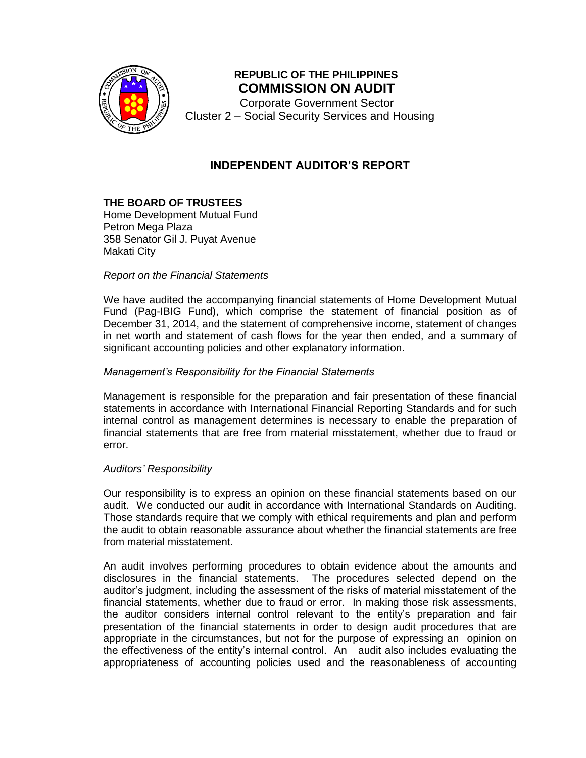

# **REPUBLIC OF THE PHILIPPINES COMMISSION ON AUDIT**

Corporate Government Sector Cluster 2 – Social Security Services and Housing

# **INDEPENDENT AUDITOR'S REPORT**

### **THE BOARD OF TRUSTEES**

Home Development Mutual Fund Petron Mega Plaza 358 Senator Gil J. Puyat Avenue Makati City

### *Report on the Financial Statements*

We have audited the accompanying financial statements of Home Development Mutual Fund (Pag-IBIG Fund), which comprise the statement of financial position as of December 31, 2014, and the statement of comprehensive income, statement of changes in net worth and statement of cash flows for the year then ended, and a summary of significant accounting policies and other explanatory information.

### *Management's Responsibility for the Financial Statements*

Management is responsible for the preparation and fair presentation of these financial statements in accordance with International Financial Reporting Standards and for such internal control as management determines is necessary to enable the preparation of financial statements that are free from material misstatement, whether due to fraud or error.

### *Auditors' Responsibility*

Our responsibility is to express an opinion on these financial statements based on our audit. We conducted our audit in accordance with International Standards on Auditing. Those standards require that we comply with ethical requirements and plan and perform the audit to obtain reasonable assurance about whether the financial statements are free from material misstatement.

An audit involves performing procedures to obtain evidence about the amounts and disclosures in the financial statements. The procedures selected depend on the auditor's judgment, including the assessment of the risks of material misstatement of the financial statements, whether due to fraud or error. In making those risk assessments, the auditor considers internal control relevant to the entity's preparation and fair presentation of the financial statements in order to design audit procedures that are appropriate in the circumstances, but not for the purpose of expressing an opinion on the effectiveness of the entity's internal control. An audit also includes evaluating the appropriateness of accounting policies used and the reasonableness of accounting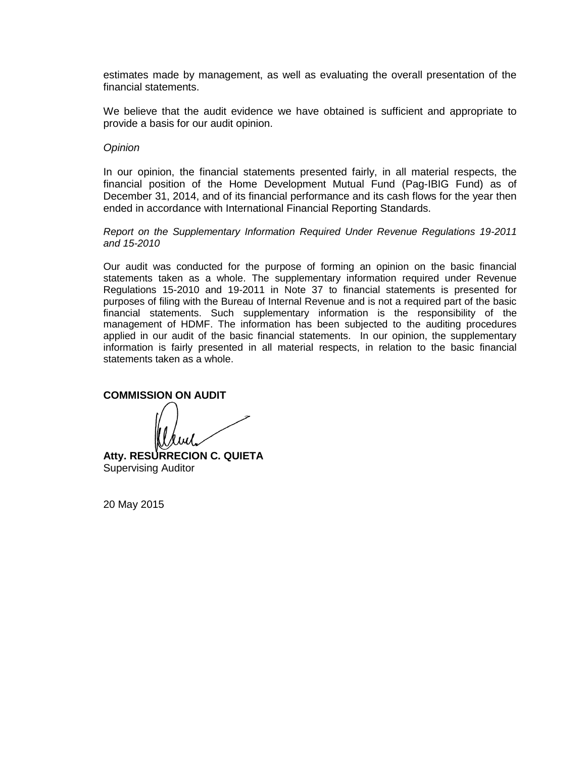estimates made by management, as well as evaluating the overall presentation of the financial statements.

We believe that the audit evidence we have obtained is sufficient and appropriate to provide a basis for our audit opinion.

#### *Opinion*

In our opinion, the financial statements presented fairly, in all material respects, the financial position of the Home Development Mutual Fund (Pag-IBIG Fund) as of December 31, 2014, and of its financial performance and its cash flows for the year then ended in accordance with International Financial Reporting Standards.

*Report on the Supplementary Information Required Under Revenue Regulations 19-2011 and 15-2010* 

Our audit was conducted for the purpose of forming an opinion on the basic financial statements taken as a whole. The supplementary information required under Revenue Regulations 15-2010 and 19-2011 in Note 37 to financial statements is presented for purposes of filing with the Bureau of Internal Revenue and is not a required part of the basic financial statements. Such supplementary information is the responsibility of the management of HDMF. The information has been subjected to the auditing procedures applied in our audit of the basic financial statements. In our opinion, the supplementary information is fairly presented in all material respects, in relation to the basic financial statements taken as a whole.

**COMMISSION ON AUDIT**

**Atty. RESURRECION C. QUIETA** Supervising Auditor

20 May 2015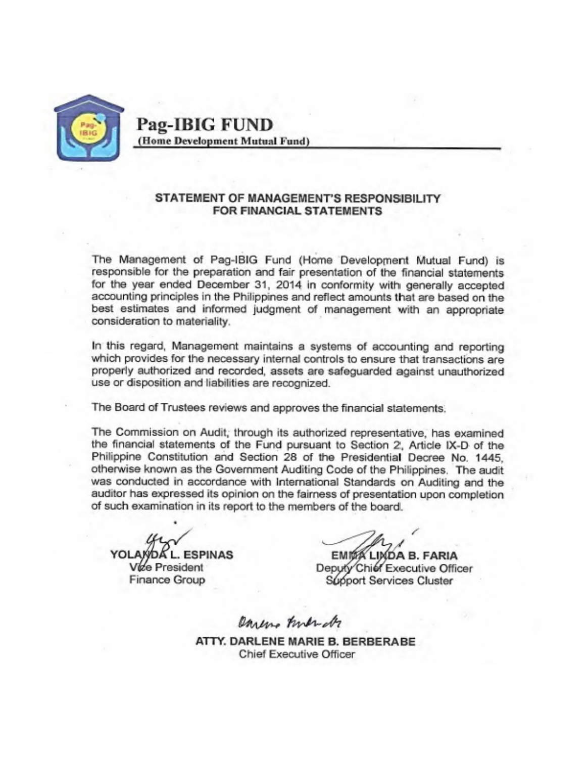

**Pag-IBIG FUND** (Home Development Mutual Fund)

### STATEMENT OF MANAGEMENT'S RESPONSIBILITY FOR FINANCIAL STATEMENTS

The Management of Pag-IBIG Fund (Home Development Mutual Fund) is responsible for the preparation and fair presentation of the financial statements for the year ended December 31, 2014 in conformity with generally accepted accounting principles in the Philippines and reflect amounts that are based on the best estimates and informed judgment of management with an appropriate consideration to materiality.

In this regard, Management maintains a systems of accounting and reporting which provides for the necessary internal controls to ensure that transactions are properly authorized and recorded, assets are safeguarded against unauthorized use or disposition and liabilities are recognized.

The Board of Trustees reviews and approves the financial statements.

The Commission on Audit, through its authorized representative, has examined the financial statements of the Fund pursuant to Section 2, Article IX-D of the Philippine Constitution and Section 28 of the Presidential Decree No. 1445. otherwise known as the Government Auditing Code of the Philippines. The audit was conducted in accordance with International Standards on Auditing and the auditor has expressed its opinion on the fairness of presentation upon completion of such examination in its report to the members of the board.

**L. ESPINAS** Vize President **Finance Group** 

EMITA LINDA B. FARIA Deputy Chief Executive Officer Support Services Cluster

Dareno Friendr

ATTY, DARLENE MARIE B. BERBERABE **Chief Executive Officer**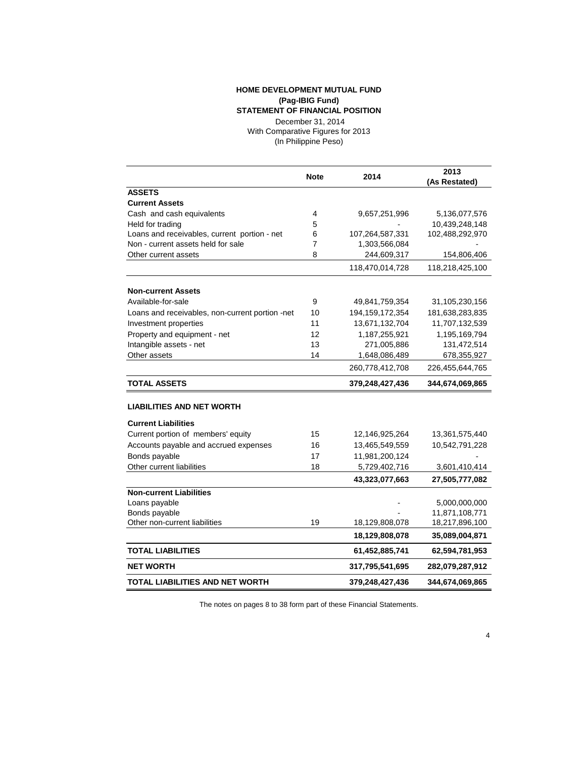#### **HOME DEVELOPMENT MUTUAL FUND (Pag-IBIG Fund) STATEMENT OF FINANCIAL POSITION**

(In Philippine Peso) December 31, 2014 With Comparative Figures for 2013

|                                                 | <b>Note</b> | 2014               | 2013<br>(As Restated) |
|-------------------------------------------------|-------------|--------------------|-----------------------|
| <b>ASSETS</b>                                   |             |                    |                       |
| <b>Current Assets</b>                           |             |                    |                       |
| Cash and cash equivalents                       | 4           | 9,657,251,996      | 5,136,077,576         |
| Held for trading                                | 5           |                    | 10,439,248,148        |
| Loans and receivables, current portion - net    | 6           | 107,264,587,331    | 102,488,292,970       |
| Non - current assets held for sale              | 7           | 1,303,566,084      |                       |
| Other current assets                            | 8           | 244,609,317        | 154,806,406           |
|                                                 |             | 118,470,014,728    | 118,218,425,100       |
| <b>Non-current Assets</b>                       |             |                    |                       |
| Available-for-sale                              | 9           | 49,841,759,354     | 31,105,230,156        |
| Loans and receivables, non-current portion -net | 10          | 194, 159, 172, 354 | 181,638,283,835       |
| Investment properties                           | 11          | 13,671,132,704     | 11,707,132,539        |
| Property and equipment - net                    | 12          | 1,187,255,921      | 1,195,169,794         |
| Intangible assets - net                         | 13          | 271,005,886        | 131,472,514           |
| Other assets                                    | 14          | 1,648,086,489      | 678,355,927           |
|                                                 |             | 260,778,412,708    | 226,455,644,765       |
| <b>TOTAL ASSETS</b>                             |             | 379,248,427,436    | 344,674,069,865       |
| <b>LIABILITIES AND NET WORTH</b>                |             |                    |                       |
| <b>Current Liabilities</b>                      |             |                    |                       |
| Current portion of members' equity              | 15          | 12,146,925,264     | 13,361,575,440        |
| Accounts payable and accrued expenses           | 16          | 13,465,549,559     | 10,542,791,228        |
| Bonds payable                                   | 17          | 11,981,200,124     |                       |
| Other current liabilities                       | 18          | 5,729,402,716      | 3,601,410,414         |
|                                                 |             | 43,323,077,663     | 27,505,777,082        |
| <b>Non-current Liabilities</b>                  |             |                    |                       |
| Loans payable                                   |             |                    | 5,000,000,000         |
| Bonds payable                                   |             |                    | 11,871,108,771        |
| Other non-current liabilities                   | 19          | 18,129,808,078     | 18,217,896,100        |
|                                                 |             | 18,129,808,078     | 35,089,004,871        |
| <b>TOTAL LIABILITIES</b>                        |             | 61,452,885,741     | 62,594,781,953        |
| <b>NET WORTH</b>                                |             | 317,795,541,695    | 282,079,287,912       |
| <b>TOTAL LIABILITIES AND NET WORTH</b>          |             | 379,248,427,436    | 344,674,069,865       |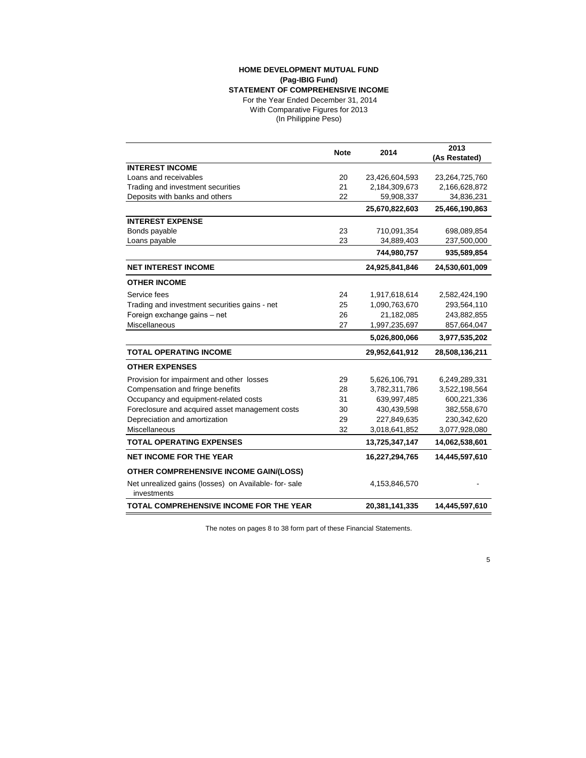#### **HOME DEVELOPMENT MUTUAL FUND** (In Philippine Peso) **(Pag-IBIG Fund) STATEMENT OF COMPREHENSIVE INCOME** For the Year Ended December 31, 2014 With Comparative Figures for 2013

|                                                                     | <b>Note</b> | 2014           | 2013<br>(As Restated) |
|---------------------------------------------------------------------|-------------|----------------|-----------------------|
| <b>INTEREST INCOME</b>                                              |             |                |                       |
| Loans and receivables                                               | 20          | 23,426,604,593 | 23,264,725,760        |
| Trading and investment securities                                   | 21          | 2,184,309,673  | 2,166,628,872         |
| Deposits with banks and others                                      | 22          | 59,908,337     | 34,836,231            |
|                                                                     |             | 25,670,822,603 | 25,466,190,863        |
| <b>INTEREST EXPENSE</b>                                             |             |                |                       |
| Bonds payable                                                       | 23          | 710,091,354    | 698,089,854           |
| Loans payable                                                       | 23          | 34,889,403     | 237,500,000           |
|                                                                     |             | 744,980,757    | 935,589,854           |
| <b>NET INTEREST INCOME</b>                                          |             | 24,925,841,846 | 24,530,601,009        |
| <b>OTHER INCOME</b>                                                 |             |                |                       |
| Service fees                                                        | 24          | 1,917,618,614  | 2,582,424,190         |
| Trading and investment securities gains - net                       | 25          | 1,090,763,670  | 293,564,110           |
| Foreign exchange gains - net                                        | 26          | 21,182,085     | 243,882,855           |
| Miscellaneous                                                       | 27          | 1,997,235,697  | 857,664,047           |
|                                                                     |             | 5,026,800,066  | 3,977,535,202         |
| <b>TOTAL OPERATING INCOME</b>                                       |             | 29,952,641,912 | 28,508,136,211        |
| <b>OTHER EXPENSES</b>                                               |             |                |                       |
| Provision for impairment and other losses                           | 29          | 5,626,106,791  | 6,249,289,331         |
| Compensation and fringe benefits                                    | 28          | 3,782,311,786  | 3,522,198,564         |
| Occupancy and equipment-related costs                               | 31          | 639,997,485    | 600,221,336           |
| Foreclosure and acquired asset management costs                     | 30          | 430,439,598    | 382,558,670           |
| Depreciation and amortization                                       | 29          | 227,849,635    | 230,342,620           |
| Miscellaneous                                                       | 32          | 3,018,641,852  | 3,077,928,080         |
| <b>TOTAL OPERATING EXPENSES</b>                                     |             | 13,725,347,147 | 14,062,538,601        |
| <b>NET INCOME FOR THE YEAR</b>                                      |             | 16,227,294,765 | 14,445,597,610        |
| <b>OTHER COMPREHENSIVE INCOME GAIN/(LOSS)</b>                       |             |                |                       |
| Net unrealized gains (losses) on Available- for-sale<br>investments |             | 4,153,846,570  |                       |
| <b>TOTAL COMPREHENSIVE INCOME FOR THE YEAR</b>                      |             | 20,381,141,335 | 14,445,597,610        |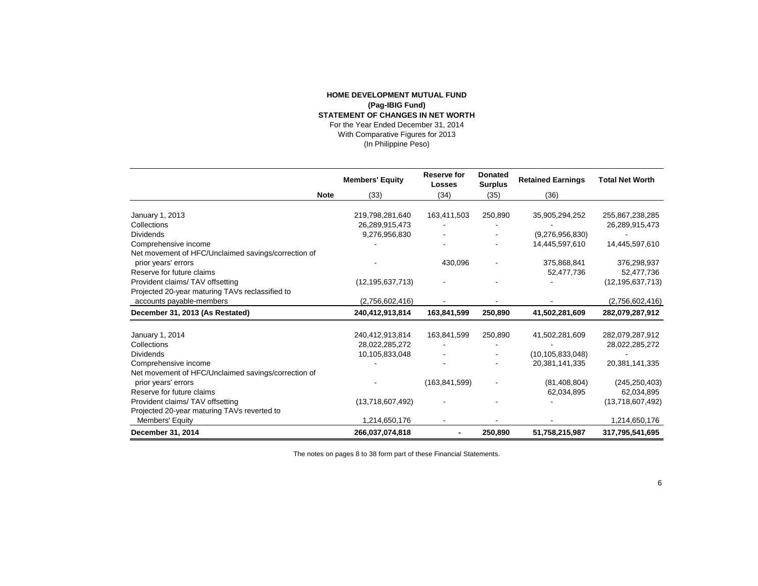#### **HOME DEVELOPMENT MUTUAL FUND (Pag-IBIG Fund) STATEMENT OF CHANGES IN NET WORTH** For the Year Ended December 31, 2014 With Comparative Figures for 2013 (In Philippine Peso)

|                                                     | <b>Members' Equity</b> | <b>Reserve for</b><br><b>Losses</b> | <b>Donated</b><br><b>Surplus</b> | <b>Retained Earnings</b> | <b>Total Net Worth</b> |
|-----------------------------------------------------|------------------------|-------------------------------------|----------------------------------|--------------------------|------------------------|
| <b>Note</b>                                         | (33)                   | (34)                                | (35)                             | (36)                     |                        |
|                                                     |                        |                                     |                                  |                          |                        |
| January 1, 2013                                     | 219,798,281,640        | 163,411,503                         | 250,890                          | 35,905,294,252           | 255,867,238,285        |
| Collections                                         | 26,289,915,473         |                                     |                                  |                          | 26,289,915,473         |
| <b>Dividends</b>                                    | 9,276,956,830          |                                     |                                  | (9,276,956,830)          |                        |
| Comprehensive income                                |                        |                                     |                                  | 14,445,597,610           | 14,445,597,610         |
| Net movement of HFC/Unclaimed savings/correction of |                        |                                     |                                  |                          |                        |
| prior years' errors                                 |                        | 430,096                             |                                  | 375,868,841              | 376,298,937            |
| Reserve for future claims                           |                        |                                     |                                  | 52,477,736               | 52,477,736             |
| Provident claims/TAV offsetting                     | (12, 195, 637, 713)    |                                     |                                  |                          | (12, 195, 637, 713)    |
| Projected 20-year maturing TAVs reclassified to     |                        |                                     |                                  |                          |                        |
| accounts payable-members                            | (2,756,602,416)        |                                     |                                  |                          | (2,756,602,416)        |
| December 31, 2013 (As Restated)                     | 240,412,913,814        | 163,841,599                         | 250,890                          | 41,502,281,609           | 282,079,287,912        |
|                                                     |                        |                                     |                                  |                          |                        |
| January 1, 2014                                     | 240,412,913,814        | 163,841,599                         | 250,890                          | 41,502,281,609           | 282,079,287,912        |
| Collections                                         | 28,022,285,272         |                                     |                                  |                          | 28,022,285,272         |
| <b>Dividends</b>                                    | 10,105,833,048         |                                     |                                  | (10, 105, 833, 048)      |                        |
| Comprehensive income                                |                        |                                     |                                  | 20,381,141,335           | 20,381,141,335         |
| Net movement of HFC/Unclaimed savings/correction of |                        |                                     |                                  |                          |                        |
| prior years' errors                                 |                        | (163, 841, 599)                     |                                  | (81, 408, 804)           | (245, 250, 403)        |
| Reserve for future claims                           |                        |                                     |                                  | 62,034,895               | 62,034,895             |
| Provident claims/TAV offsetting                     | (13,718,607,492)       |                                     |                                  |                          | (13,718,607,492)       |
| Projected 20-year maturing TAVs reverted to         |                        |                                     |                                  |                          |                        |
| Members' Equity                                     | 1,214,650,176          |                                     |                                  |                          | 1,214,650,176          |
| December 31, 2014                                   | 266,037,074,818        |                                     | 250,890                          | 51,758,215,987           | 317,795,541,695        |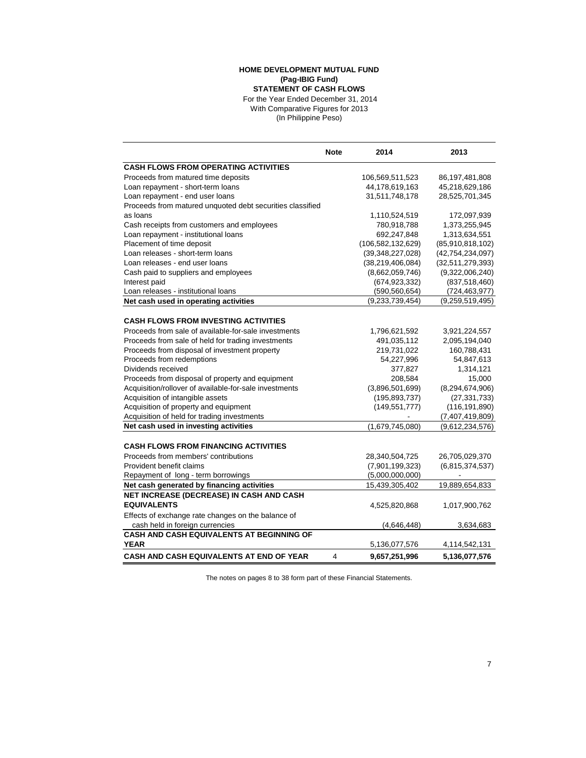#### **(Pag-IBIG Fund) STATEMENT OF CASH FLOWS** For the Year Ended December 31, 2014 **HOME DEVELOPMENT MUTUAL FUND** With Comparative Figures for 2013

(In Philippine Peso)

|                                                           | <b>Note</b>    | 2014                 | 2013                |
|-----------------------------------------------------------|----------------|----------------------|---------------------|
| <b>CASH FLOWS FROM OPERATING ACTIVITIES</b>               |                |                      |                     |
| Proceeds from matured time deposits                       |                | 106,569,511,523      | 86, 197, 481, 808   |
| Loan repayment - short-term loans                         |                | 44,178,619,163       | 45,218,629,186      |
| Loan repayment - end user loans                           |                | 31,511,748,178       | 28,525,701,345      |
| Proceeds from matured unquoted debt securities classified |                |                      |                     |
| as loans                                                  |                | 1,110,524,519        | 172,097,939         |
| Cash receipts from customers and employees                |                | 780,918,788          | 1,373,255,945       |
| Loan repayment - institutional loans                      |                | 692,247,848          | 1,313,634,551       |
| Placement of time deposit                                 |                | (106, 582, 132, 629) | (85,910,818,102)    |
| Loan releases - short-term loans                          |                | (39,348,227,028)     | (42, 754, 234, 097) |
| Loan releases - end user loans                            |                | (38, 219, 406, 084)  | (32,511,279,393)    |
| Cash paid to suppliers and employees                      |                | (8,662,059,746)      | (9,322,006,240)     |
| Interest paid                                             |                | (674, 923, 332)      | (837, 518, 460)     |
| Loan releases - institutional loans                       |                | (590, 560, 654)      | (724, 463, 977)     |
| Net cash used in operating activities                     |                | (9,233,739,454)      | (9,259,519,495)     |
|                                                           |                |                      |                     |
| <b>CASH FLOWS FROM INVESTING ACTIVITIES</b>               |                |                      |                     |
| Proceeds from sale of available-for-sale investments      |                | 1,796,621,592        | 3,921,224,557       |
| Proceeds from sale of held for trading investments        |                | 491,035,112          | 2,095,194,040       |
| Proceeds from disposal of investment property             |                | 219,731,022          | 160,788,431         |
| Proceeds from redemptions                                 |                | 54,227,996           | 54,847,613          |
| Dividends received                                        |                | 377,827              | 1,314,121           |
| Proceeds from disposal of property and equipment          |                | 208,584              | 15,000              |
| Acquisition/rollover of available-for-sale investments    |                | (3,896,501,699)      | (8, 294, 674, 906)  |
| Acquisition of intangible assets                          |                | (195, 893, 737)      | (27, 331, 733)      |
| Acquisition of property and equipment                     |                | (149, 551, 777)      | (116, 191, 890)     |
| Acquisition of held for trading investments               |                |                      | (7,407,419,809)     |
| Net cash used in investing activities                     |                | (1,679,745,080)      | (9,612,234,576)     |
|                                                           |                |                      |                     |
| <b>CASH FLOWS FROM FINANCING ACTIVITIES</b>               |                |                      |                     |
| Proceeds from members' contributions                      |                | 28,340,504,725       | 26,705,029,370      |
| Provident benefit claims                                  |                | (7,901,199,323)      | (6,815,374,537)     |
| Repayment of long - term borrowings                       |                | (5,000,000,000)      |                     |
| Net cash generated by financing activities                |                | 15,439,305,402       | 19,889,654,833      |
| NET INCREASE (DECREASE) IN CASH AND CASH                  |                |                      |                     |
| <b>EQUIVALENTS</b>                                        |                | 4,525,820,868        | 1,017,900,762       |
| Effects of exchange rate changes on the balance of        |                |                      |                     |
| cash held in foreign currencies                           |                | (4,646,448)          | 3,634,683           |
| <b>CASH AND CASH EQUIVALENTS AT BEGINNING OF</b>          |                |                      |                     |
| <b>YEAR</b>                                               |                | 5,136,077,576        | 4,114,542,131       |
| <b>CASH AND CASH EQUIVALENTS AT END OF YEAR</b>           | $\overline{4}$ | 9,657,251,996        | 5,136,077,576       |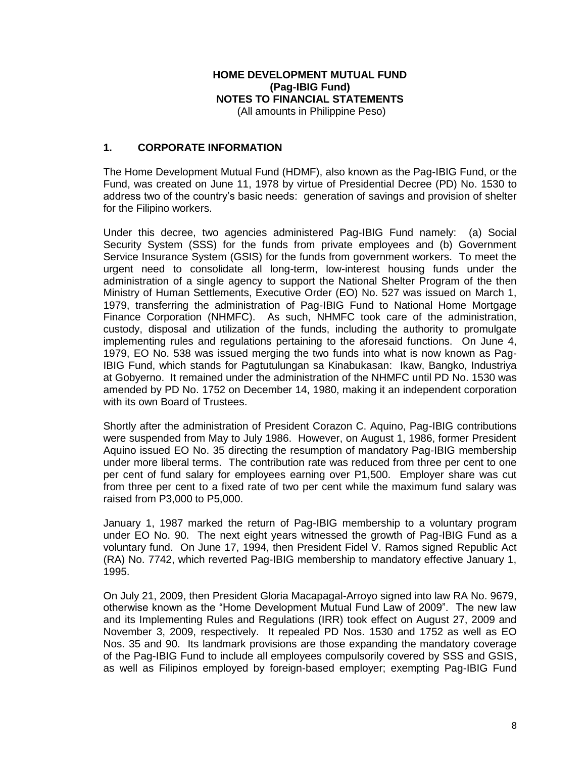# **HOME DEVELOPMENT MUTUAL FUND (Pag-IBIG Fund) NOTES TO FINANCIAL STATEMENTS**

(All amounts in Philippine Peso)

### **1. CORPORATE INFORMATION**

The Home Development Mutual Fund (HDMF), also known as the Pag-IBIG Fund, or the Fund, was created on June 11, 1978 by virtue of Presidential Decree (PD) No. 1530 to address two of the country's basic needs: generation of savings and provision of shelter for the Filipino workers.

Under this decree, two agencies administered Pag-IBIG Fund namely: (a) Social Security System (SSS) for the funds from private employees and (b) Government Service Insurance System (GSIS) for the funds from government workers. To meet the urgent need to consolidate all long-term, low-interest housing funds under the administration of a single agency to support the National Shelter Program of the then Ministry of Human Settlements, Executive Order (EO) No. 527 was issued on March 1, 1979, transferring the administration of Pag-IBIG Fund to National Home Mortgage Finance Corporation (NHMFC). As such, NHMFC took care of the administration, custody, disposal and utilization of the funds, including the authority to promulgate implementing rules and regulations pertaining to the aforesaid functions. On June 4, 1979, EO No. 538 was issued merging the two funds into what is now known as Pag-IBIG Fund, which stands for Pagtutulungan sa Kinabukasan: Ikaw, Bangko, Industriya at Gobyerno. It remained under the administration of the NHMFC until PD No. 1530 was amended by PD No. 1752 on December 14, 1980, making it an independent corporation with its own Board of Trustees.

Shortly after the administration of President Corazon C. Aquino, Pag-IBIG contributions were suspended from May to July 1986. However, on August 1, 1986, former President Aquino issued EO No. 35 directing the resumption of mandatory Pag-IBIG membership under more liberal terms. The contribution rate was reduced from three per cent to one per cent of fund salary for employees earning over P1,500. Employer share was cut from three per cent to a fixed rate of two per cent while the maximum fund salary was raised from P3,000 to P5,000.

January 1, 1987 marked the return of Pag-IBIG membership to a voluntary program under EO No. 90. The next eight years witnessed the growth of Pag-IBIG Fund as a voluntary fund. On June 17, 1994, then President Fidel V. Ramos signed Republic Act (RA) No. 7742, which reverted Pag-IBIG membership to mandatory effective January 1, 1995.

On July 21, 2009, then President Gloria Macapagal-Arroyo signed into law RA No. 9679, otherwise known as the "Home Development Mutual Fund Law of 2009". The new law and its Implementing Rules and Regulations (IRR) took effect on August 27, 2009 and November 3, 2009, respectively. It repealed PD Nos. 1530 and 1752 as well as EO Nos. 35 and 90. Its landmark provisions are those expanding the mandatory coverage of the Pag-IBIG Fund to include all employees compulsorily covered by SSS and GSIS, as well as Filipinos employed by foreign-based employer; exempting Pag-IBIG Fund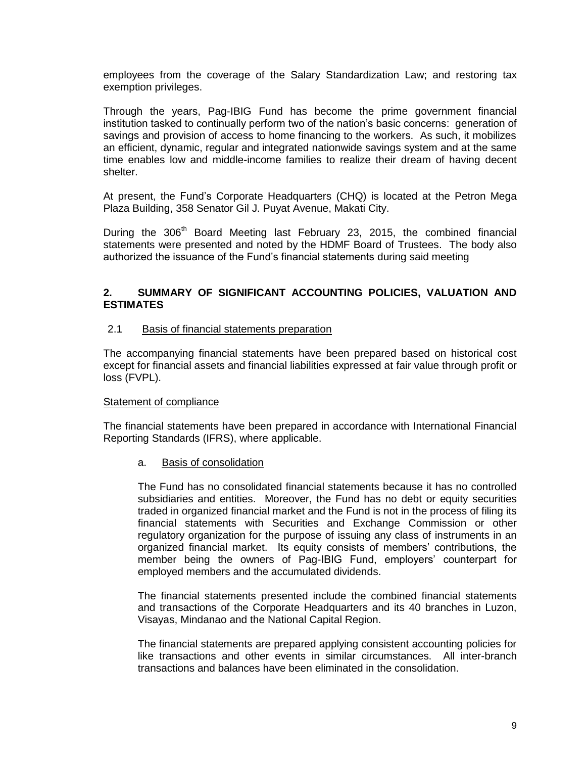employees from the coverage of the Salary Standardization Law; and restoring tax exemption privileges.

Through the years, Pag-IBIG Fund has become the prime government financial institution tasked to continually perform two of the nation's basic concerns: generation of savings and provision of access to home financing to the workers. As such, it mobilizes an efficient, dynamic, regular and integrated nationwide savings system and at the same time enables low and middle-income families to realize their dream of having decent shelter.

At present, the Fund's Corporate Headquarters (CHQ) is located at the Petron Mega Plaza Building, 358 Senator Gil J. Puyat Avenue, Makati City.

During the 306<sup>th</sup> Board Meeting last February 23, 2015, the combined financial statements were presented and noted by the HDMF Board of Trustees. The body also authorized the issuance of the Fund's financial statements during said meeting

### **2. SUMMARY OF SIGNIFICANT ACCOUNTING POLICIES, VALUATION AND ESTIMATES**

#### 2.1 Basis of financial statements preparation

The accompanying financial statements have been prepared based on historical cost except for financial assets and financial liabilities expressed at fair value through profit or loss (FVPL).

#### Statement of compliance

The financial statements have been prepared in accordance with International Financial Reporting Standards (IFRS), where applicable.

#### a. Basis of consolidation

The Fund has no consolidated financial statements because it has no controlled subsidiaries and entities. Moreover, the Fund has no debt or equity securities traded in organized financial market and the Fund is not in the process of filing its financial statements with Securities and Exchange Commission or other regulatory organization for the purpose of issuing any class of instruments in an organized financial market. Its equity consists of members' contributions, the member being the owners of Pag-IBIG Fund, employers' counterpart for employed members and the accumulated dividends.

The financial statements presented include the combined financial statements and transactions of the Corporate Headquarters and its 40 branches in Luzon, Visayas, Mindanao and the National Capital Region.

The financial statements are prepared applying consistent accounting policies for like transactions and other events in similar circumstances. All inter-branch transactions and balances have been eliminated in the consolidation.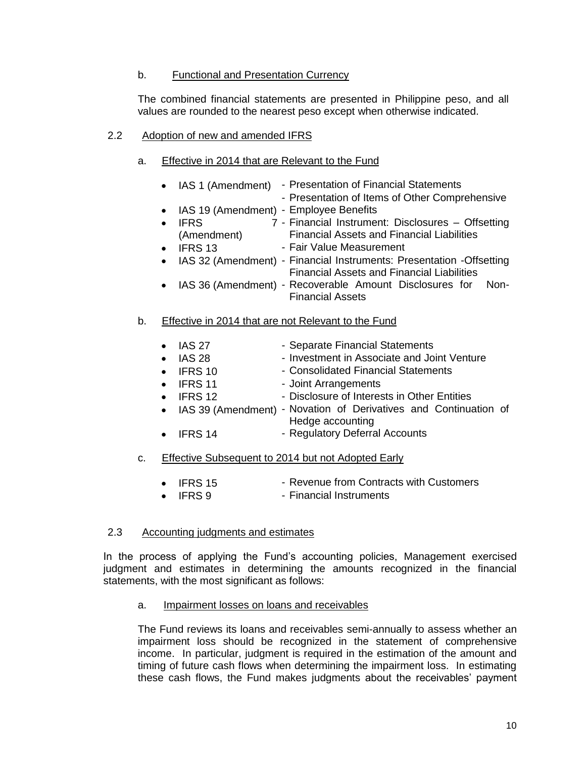### b. Functional and Presentation Currency

The combined financial statements are presented in Philippine peso, and all values are rounded to the nearest peso except when otherwise indicated.

### 2.2 Adoption of new and amended IFRS

### a. Effective in 2014 that are Relevant to the Fund

- IAS 1 (Amendment) Presentation of Financial Statements - Presentation of Items of Other Comprehensive
	- IAS 19 (Amendment) Employee Benefits
- IFRS 7 (Amendment) - Financial Instrument: Disclosures – Offsetting Financial Assets and Financial Liabilities
- IFRS 13 Fair Value Measurement
- IAS 32 (Amendment) Financial Instruments: Presentation -Offsetting Financial Assets and Financial Liabilities
- IAS 36 (Amendment) Recoverable Amount Disclosures for Non-Financial Assets

### b. Effective in 2014 that are not Relevant to the Fund

- IAS 27 Separate Financial Statements
	- IAS 28 Investment in Associate and Joint Venture
	- IFRS 10 Consolidated Financial Statements
- IFRS 11 Joint Arrangements
	- IFRS 12 Disclosure of Interests in Other Entities
- IAS 39 (Amendment) Novation of Derivatives and Continuation of Hedge accounting
	- IFRS 14 Regulatory Deferral Accounts

### c. Effective Subsequent to 2014 but not Adopted Early

- IFRS 15 Revenue from Contracts with Customers
	- IFRS 9 Financial Instruments

#### 2.3 Accounting judgments and estimates

In the process of applying the Fund's accounting policies, Management exercised judgment and estimates in determining the amounts recognized in the financial statements, with the most significant as follows:

#### a. Impairment losses on loans and receivables

The Fund reviews its loans and receivables semi-annually to assess whether an impairment loss should be recognized in the statement of comprehensive income. In particular, judgment is required in the estimation of the amount and timing of future cash flows when determining the impairment loss. In estimating these cash flows, the Fund makes judgments about the receivables' payment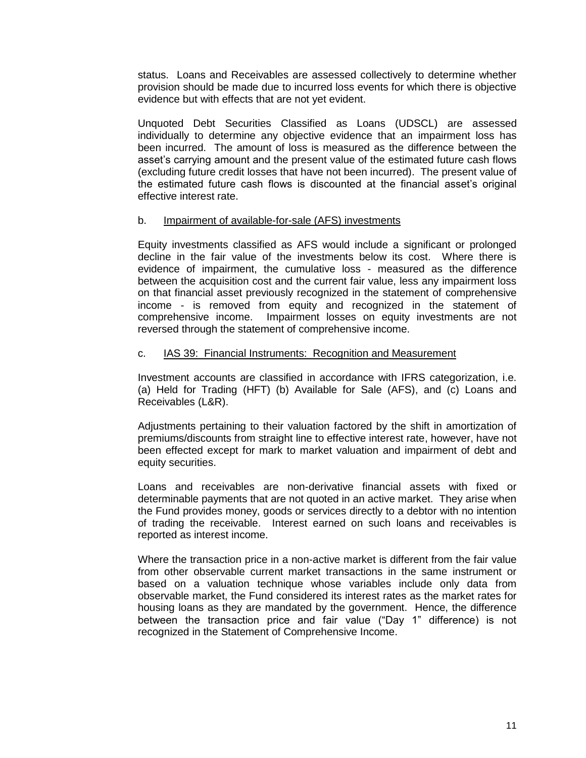status. Loans and Receivables are assessed collectively to determine whether provision should be made due to incurred loss events for which there is objective evidence but with effects that are not yet evident.

Unquoted Debt Securities Classified as Loans (UDSCL) are assessed individually to determine any objective evidence that an impairment loss has been incurred. The amount of loss is measured as the difference between the asset's carrying amount and the present value of the estimated future cash flows (excluding future credit losses that have not been incurred). The present value of the estimated future cash flows is discounted at the financial asset's original effective interest rate.

### b. Impairment of available-for-sale (AFS) investments

Equity investments classified as AFS would include a significant or prolonged decline in the fair value of the investments below its cost. Where there is evidence of impairment, the cumulative loss - measured as the difference between the acquisition cost and the current fair value, less any impairment loss on that financial asset previously recognized in the statement of comprehensive income - is removed from equity and recognized in the statement of comprehensive income. Impairment losses on equity investments are not reversed through the statement of comprehensive income.

### c. IAS 39: Financial Instruments: Recognition and Measurement

Investment accounts are classified in accordance with IFRS categorization, i.e. (a) Held for Trading (HFT) (b) Available for Sale (AFS), and (c) Loans and Receivables (L&R).

Adjustments pertaining to their valuation factored by the shift in amortization of premiums/discounts from straight line to effective interest rate, however, have not been effected except for mark to market valuation and impairment of debt and equity securities.

Loans and receivables are non-derivative financial assets with fixed or determinable payments that are not quoted in an active market. They arise when the Fund provides money, goods or services directly to a debtor with no intention of trading the receivable. Interest earned on such loans and receivables is reported as interest income.

Where the transaction price in a non-active market is different from the fair value from other observable current market transactions in the same instrument or based on a valuation technique whose variables include only data from observable market, the Fund considered its interest rates as the market rates for housing loans as they are mandated by the government. Hence, the difference between the transaction price and fair value ("Day 1" difference) is not recognized in the Statement of Comprehensive Income.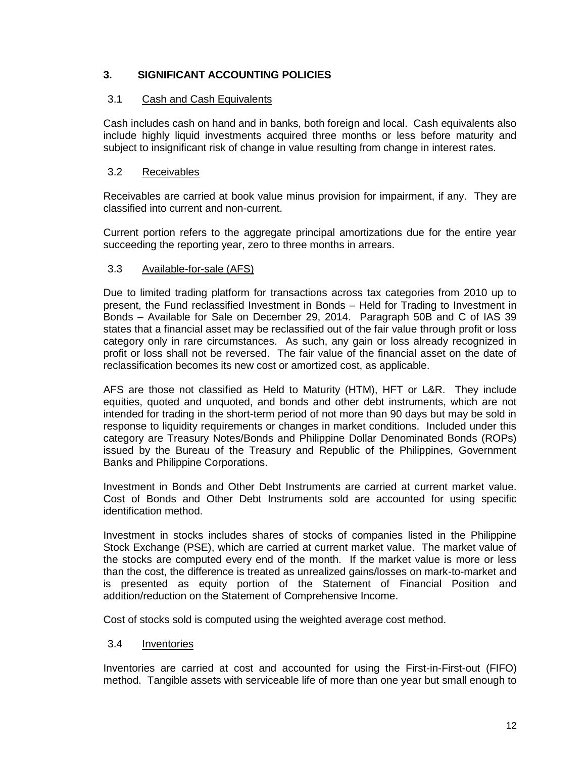## **3. SIGNIFICANT ACCOUNTING POLICIES**

### 3.1 Cash and Cash Equivalents

Cash includes cash on hand and in banks, both foreign and local. Cash equivalents also include highly liquid investments acquired three months or less before maturity and subject to insignificant risk of change in value resulting from change in interest rates.

### 3.2 Receivables

Receivables are carried at book value minus provision for impairment, if any. They are classified into current and non-current.

Current portion refers to the aggregate principal amortizations due for the entire year succeeding the reporting year, zero to three months in arrears.

### 3.3 Available-for-sale (AFS)

Due to limited trading platform for transactions across tax categories from 2010 up to present, the Fund reclassified Investment in Bonds – Held for Trading to Investment in Bonds – Available for Sale on December 29, 2014. Paragraph 50B and C of IAS 39 states that a financial asset may be reclassified out of the fair value through profit or loss category only in rare circumstances. As such, any gain or loss already recognized in profit or loss shall not be reversed. The fair value of the financial asset on the date of reclassification becomes its new cost or amortized cost, as applicable.

AFS are those not classified as Held to Maturity (HTM), HFT or L&R. They include equities, quoted and unquoted, and bonds and other debt instruments, which are not intended for trading in the short-term period of not more than 90 days but may be sold in response to liquidity requirements or changes in market conditions. Included under this category are Treasury Notes/Bonds and Philippine Dollar Denominated Bonds (ROPs) issued by the Bureau of the Treasury and Republic of the Philippines, Government Banks and Philippine Corporations.

Investment in Bonds and Other Debt Instruments are carried at current market value. Cost of Bonds and Other Debt Instruments sold are accounted for using specific identification method.

Investment in stocks includes shares of stocks of companies listed in the Philippine Stock Exchange (PSE), which are carried at current market value. The market value of the stocks are computed every end of the month. If the market value is more or less than the cost, the difference is treated as unrealized gains/losses on mark-to-market and is presented as equity portion of the Statement of Financial Position and addition/reduction on the Statement of Comprehensive Income.

Cost of stocks sold is computed using the weighted average cost method.

### 3.4 Inventories

Inventories are carried at cost and accounted for using the First-in-First-out (FIFO) method. Tangible assets with serviceable life of more than one year but small enough to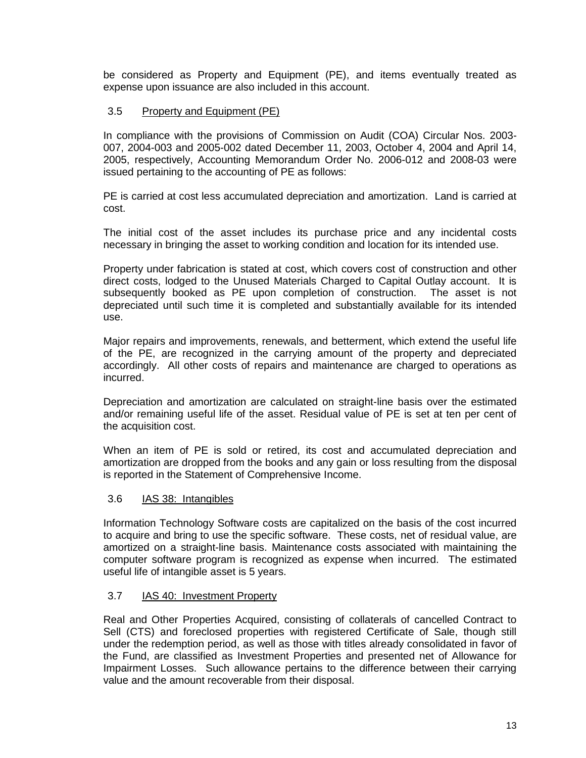be considered as Property and Equipment (PE), and items eventually treated as expense upon issuance are also included in this account.

### 3.5 Property and Equipment (PE)

In compliance with the provisions of Commission on Audit (COA) Circular Nos. 2003- 007, 2004-003 and 2005-002 dated December 11, 2003, October 4, 2004 and April 14, 2005, respectively, Accounting Memorandum Order No. 2006-012 and 2008-03 were issued pertaining to the accounting of PE as follows:

PE is carried at cost less accumulated depreciation and amortization. Land is carried at cost.

The initial cost of the asset includes its purchase price and any incidental costs necessary in bringing the asset to working condition and location for its intended use.

Property under fabrication is stated at cost, which covers cost of construction and other direct costs, lodged to the Unused Materials Charged to Capital Outlay account. It is subsequently booked as PE upon completion of construction. The asset is not depreciated until such time it is completed and substantially available for its intended use.

Major repairs and improvements, renewals, and betterment, which extend the useful life of the PE, are recognized in the carrying amount of the property and depreciated accordingly. All other costs of repairs and maintenance are charged to operations as incurred.

Depreciation and amortization are calculated on straight-line basis over the estimated and/or remaining useful life of the asset. Residual value of PE is set at ten per cent of the acquisition cost.

When an item of PE is sold or retired, its cost and accumulated depreciation and amortization are dropped from the books and any gain or loss resulting from the disposal is reported in the Statement of Comprehensive Income.

### 3.6 IAS 38: Intangibles

Information Technology Software costs are capitalized on the basis of the cost incurred to acquire and bring to use the specific software. These costs, net of residual value, are amortized on a straight-line basis. Maintenance costs associated with maintaining the computer software program is recognized as expense when incurred. The estimated useful life of intangible asset is 5 years.

### 3.7 IAS 40: Investment Property

Real and Other Properties Acquired, consisting of collaterals of cancelled Contract to Sell (CTS) and foreclosed properties with registered Certificate of Sale, though still under the redemption period, as well as those with titles already consolidated in favor of the Fund, are classified as Investment Properties and presented net of Allowance for Impairment Losses. Such allowance pertains to the difference between their carrying value and the amount recoverable from their disposal.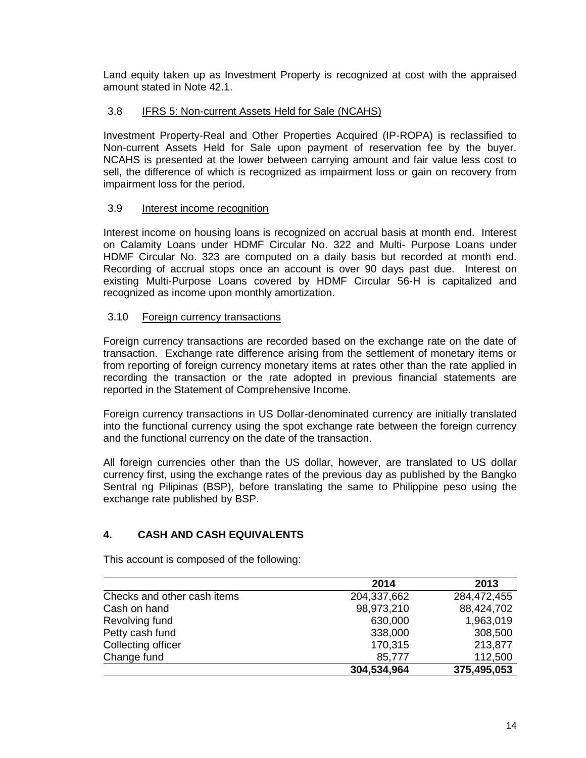Land equity taken up as Investment Property is recognized at cost with the appraised amount stated in Note 42.1.

### 3.8 IFRS 5: Non-current Assets Held for Sale (NCAHS)

Investment Property-Real and Other Properties Acquired (IP-ROPA) is reclassified to Non-current Assets Held for Sale upon payment of reservation fee by the buyer. NCAHS is presented at the lower between carrying amount and fair value less cost to sell, the difference of which is recognized as impairment loss or gain on recovery from impairment loss for the period.

### 3.9 Interest income recognition

Interest income on housing loans is recognized on accrual basis at month end. Interest on Calamity Loans under HDMF Circular No. 322 and Multi- Purpose Loans under HDMF Circular No. 323 are computed on a daily basis but recorded at month end. Recording of accrual stops once an account is over 90 days past due. Interest on existing Multi-Purpose Loans covered by HDMF Circular 56-H is capitalized and recognized as income upon monthly amortization.

#### 3.10 Foreign currency transactions

Foreign currency transactions are recorded based on the exchange rate on the date of transaction. Exchange rate difference arising from the settlement of monetary items or from reporting of foreign currency monetary items at rates other than the rate applied in recording the transaction or the rate adopted in previous financial statements are reported in the Statement of Comprehensive Income.

Foreign currency transactions in US Dollar-denominated currency are initially translated into the functional currency using the spot exchange rate between the foreign currency and the functional currency on the date of the transaction.

All foreign currencies other than the US dollar, however, are translated to US dollar currency first, using the exchange rates of the previous day as published by the Bangko Sentral ng Pilipinas (BSP), before translating the same to Philippine peso using the exchange rate published by BSP.

### **4. CASH AND CASH EQUIVALENTS**

This account is composed of the following:

|                             | 2014        | 2013        |
|-----------------------------|-------------|-------------|
| Checks and other cash items | 204,337,662 | 284,472,455 |
| Cash on hand                | 98,973,210  | 88,424,702  |
| Revolving fund              | 630,000     | 1,963,019   |
| Petty cash fund             | 338,000     | 308,500     |
| Collecting officer          | 170,315     | 213,877     |
| Change fund                 | 85,777      | 112,500     |
|                             | 304,534,964 | 375,495,053 |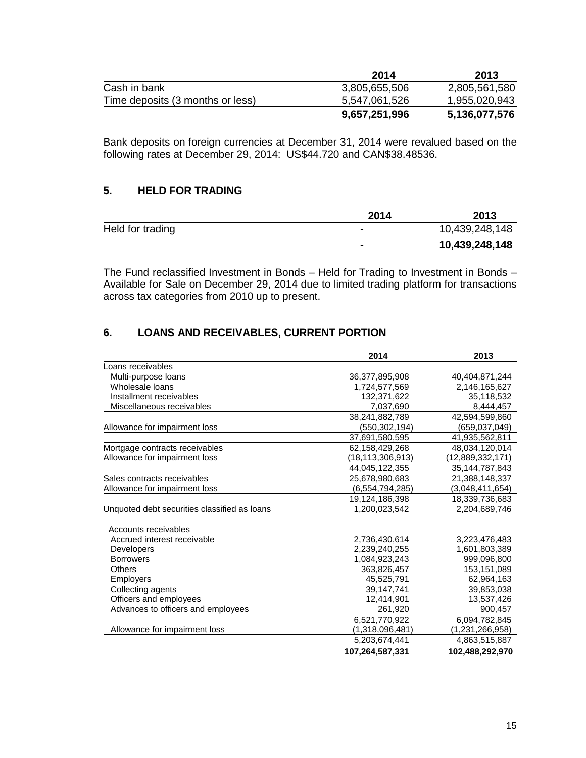|                                  | 2014          | 2013          |
|----------------------------------|---------------|---------------|
| Cash in bank                     | 3,805,655,506 | 2,805,561,580 |
| Time deposits (3 months or less) | 5,547,061,526 | 1,955,020,943 |
|                                  | 9,657,251,996 | 5,136,077,576 |

Bank deposits on foreign currencies at December 31, 2014 were revalued based on the following rates at December 29, 2014: US\$44.720 and CAN\$38.48536.

### **5. HELD FOR TRADING**

|                  | 2014 | 2013           |
|------------------|------|----------------|
| Held for trading | -    | 10,439,248,148 |
|                  | -    | 10,439,248,148 |

The Fund reclassified Investment in Bonds – Held for Trading to Investment in Bonds – Available for Sale on December 29, 2014 due to limited trading platform for transactions across tax categories from 2010 up to present.

# **6. LOANS AND RECEIVABLES, CURRENT PORTION**

|                                              | 2014             | 2013              |
|----------------------------------------------|------------------|-------------------|
| Loans receivables                            |                  |                   |
| Multi-purpose loans                          | 36,377,895,908   | 40,404,871,244    |
| Wholesale loans                              | 1,724,577,569    | 2.146.165.627     |
| Installment receivables                      | 132,371,622      | 35,118,532        |
| Miscellaneous receivables                    | 7,037,690        | 8,444,457         |
|                                              | 38,241,882,789   | 42,594,599,860    |
| Allowance for impairment loss                | (550,302,194)    | (659,037,049)     |
|                                              | 37,691,580,595   | 41,935,562,811    |
| Mortgage contracts receivables               | 62,158,429,268   | 48,034,120,014    |
| Allowance for impairment loss                | (18,113,306,913) | (12,889,332,171)  |
|                                              | 44,045,122,355   | 35, 144, 787, 843 |
| Sales contracts receivables                  | 25,678,980,683   | 21,388,148,337    |
| Allowance for impairment loss                | (6,554,794,285)  | (3,048,411,654)   |
|                                              | 19,124,186,398   | 18,339,736,683    |
| Unquoted debt securities classified as loans | 1,200,023,542    | 2,204,689,746     |
| Accounts receivables                         |                  |                   |
| Accrued interest receivable                  | 2,736,430,614    | 3,223,476,483     |
| <b>Developers</b>                            | 2,239,240,255    | 1,601,803,389     |
| <b>Borrowers</b>                             | 1,084,923,243    | 999,096,800       |
| Others                                       | 363,826,457      | 153, 151, 089     |
| <b>Employers</b>                             | 45,525,791       | 62,964,163        |
| Collecting agents                            | 39,147,741       | 39,853,038        |
| Officers and employees                       | 12,414,901       | 13,537,426        |
| Advances to officers and employees           | 261,920          | 900,457           |
|                                              | 6.521.770.922    | 6,094,782,845     |
| Allowance for impairment loss                | (1,318,096,481)  | (1,231,266,958)   |
|                                              | 5,203,674,441    | 4,863,515,887     |
|                                              | 107,264,587,331  | 102,488,292,970   |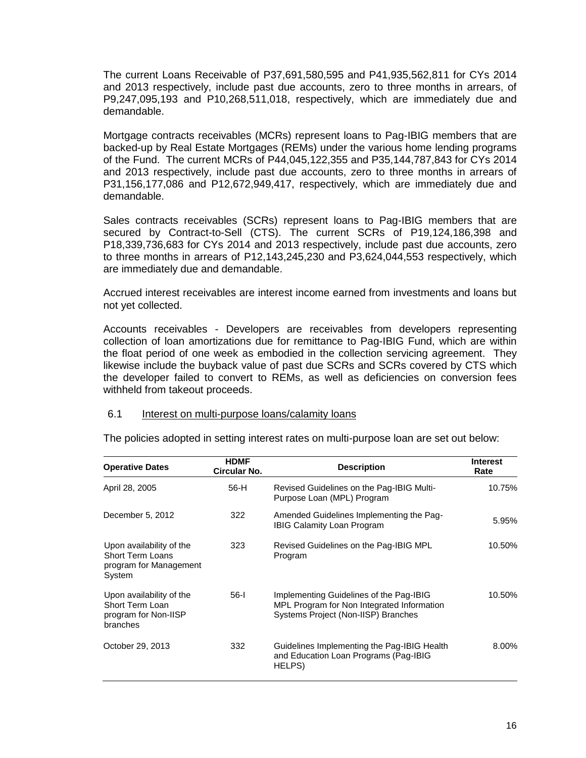The current Loans Receivable of P37,691,580,595 and P41,935,562,811 for CYs 2014 and 2013 respectively, include past due accounts, zero to three months in arrears, of P9,247,095,193 and P10,268,511,018, respectively, which are immediately due and demandable.

Mortgage contracts receivables (MCRs) represent loans to Pag-IBIG members that are backed-up by Real Estate Mortgages (REMs) under the various home lending programs of the Fund. The current MCRs of P44,045,122,355 and P35,144,787,843 for CYs 2014 and 2013 respectively, include past due accounts, zero to three months in arrears of P31,156,177,086 and P12,672,949,417, respectively, which are immediately due and demandable.

Sales contracts receivables (SCRs) represent loans to Pag-IBIG members that are secured by Contract-to-Sell (CTS). The current SCRs of P19,124,186,398 and P18,339,736,683 for CYs 2014 and 2013 respectively, include past due accounts, zero to three months in arrears of P12,143,245,230 and P3,624,044,553 respectively, which are immediately due and demandable.

Accrued interest receivables are interest income earned from investments and loans but not yet collected.

Accounts receivables - Developers are receivables from developers representing collection of loan amortizations due for remittance to Pag-IBIG Fund, which are within the float period of one week as embodied in the collection servicing agreement. They likewise include the buyback value of past due SCRs and SCRs covered by CTS which the developer failed to convert to REMs, as well as deficiencies on conversion fees withheld from takeout proceeds.

#### 6.1 Interest on multi-purpose loans/calamity loans

| <b>Operative Dates</b>                                                                  | <b>HDMF</b><br>Circular No. | <b>Description</b>                                                                                                           | <b>Interest</b><br>Rate |
|-----------------------------------------------------------------------------------------|-----------------------------|------------------------------------------------------------------------------------------------------------------------------|-------------------------|
| April 28, 2005                                                                          | 56-H                        | Revised Guidelines on the Pag-IBIG Multi-<br>Purpose Loan (MPL) Program                                                      | 10.75%                  |
| December 5, 2012                                                                        | 322                         | Amended Guidelines Implementing the Pag-<br><b>IBIG Calamity Loan Program</b>                                                | 5.95%                   |
| Upon availability of the<br><b>Short Term Loans</b><br>program for Management<br>System | 323                         | Revised Guidelines on the Pag-IBIG MPL<br>Program                                                                            | 10.50%                  |
| Upon availability of the<br>Short Term Loan<br>program for Non-IISP<br>branches         | 56-l                        | Implementing Guidelines of the Pag-IBIG<br>MPL Program for Non Integrated Information<br>Systems Project (Non-IISP) Branches | 10.50%                  |
| October 29, 2013                                                                        | 332                         | Guidelines Implementing the Pag-IBIG Health<br>and Education Loan Programs (Pag-IBIG<br>HELPS)                               | 8.00%                   |

The policies adopted in setting interest rates on multi-purpose loan are set out below: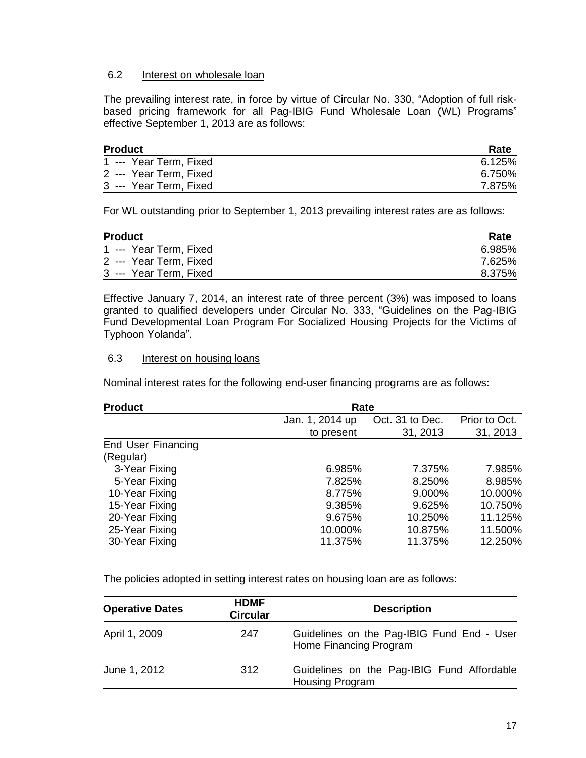### 6.2 Interest on wholesale loan

The prevailing interest rate, in force by virtue of Circular No. 330, "Adoption of full riskbased pricing framework for all Pag-IBIG Fund Wholesale Loan (WL) Programs" effective September 1, 2013 are as follows:

| <b>Product</b>         | Rate   |
|------------------------|--------|
| 1 --- Year Term, Fixed | 6.125% |
| 2 --- Year Term, Fixed | 6.750% |
| 3 --- Year Term, Fixed | 7.875% |

For WL outstanding prior to September 1, 2013 prevailing interest rates are as follows:

| <b>Product</b>         | Rate   |
|------------------------|--------|
| 1 --- Year Term, Fixed | 6.985% |
| 2 --- Year Term, Fixed | 7.625% |
| 3 --- Year Term, Fixed | 8.375% |

Effective January 7, 2014, an interest rate of three percent (3%) was imposed to loans granted to qualified developers under Circular No. 333, "Guidelines on the Pag-IBIG Fund Developmental Loan Program For Socialized Housing Projects for the Victims of Typhoon Yolanda".

### 6.3 Interest on housing loans

Nominal interest rates for the following end-user financing programs are as follows:

| <b>Product</b>     | Rate            |                 |               |
|--------------------|-----------------|-----------------|---------------|
|                    | Jan. 1, 2014 up | Oct. 31 to Dec. | Prior to Oct. |
|                    | to present      | 31, 2013        | 31, 2013      |
| End User Financing |                 |                 |               |
| (Regular)          |                 |                 |               |
| 3-Year Fixing      | 6.985%          | 7.375%          | 7.985%        |
| 5-Year Fixing      | 7.825%          | 8.250%          | 8.985%        |
| 10-Year Fixing     | 8.775%          | 9.000%          | 10.000%       |
| 15-Year Fixing     | 9.385%          | 9.625%          | 10.750%       |
| 20-Year Fixing     | 9.675%          | 10.250%         | 11.125%       |
| 25-Year Fixing     | 10.000%         | 10.875%         | 11.500%       |
| 30-Year Fixing     | 11.375%         | 11.375%         | 12.250%       |
|                    |                 |                 |               |

The policies adopted in setting interest rates on housing loan are as follows:

| <b>Operative Dates</b> | <b>HDMF</b><br><b>Circular</b> | <b>Description</b>                                                   |  |
|------------------------|--------------------------------|----------------------------------------------------------------------|--|
| April 1, 2009          | 247                            | Guidelines on the Pag-IBIG Fund End - User<br>Home Financing Program |  |
| June 1, 2012           | 312                            | Guidelines on the Pag-IBIG Fund Affordable<br><b>Housing Program</b> |  |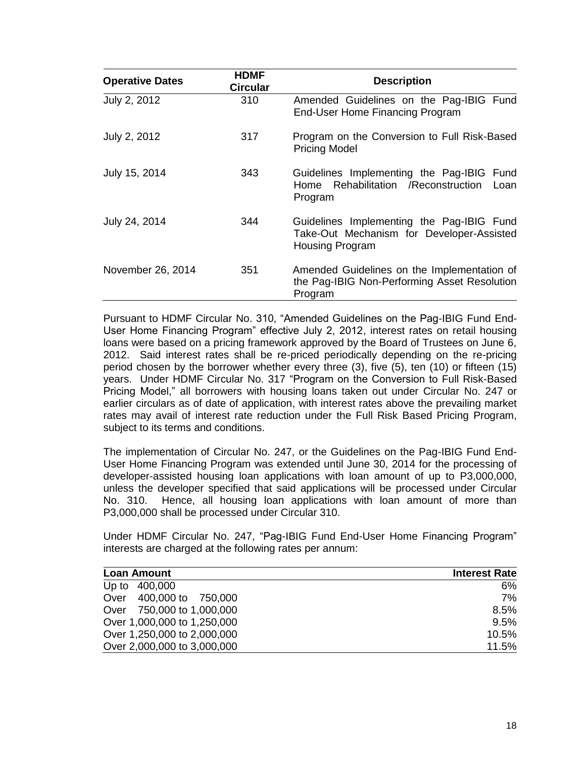| <b>Operative Dates</b> | <b>HDMF</b><br><b>Circular</b> | <b>Description</b>                                                                                               |
|------------------------|--------------------------------|------------------------------------------------------------------------------------------------------------------|
| July 2, 2012           | 310                            | Amended Guidelines on the Pag-IBIG Fund<br>End-User Home Financing Program                                       |
| July 2, 2012           | 317                            | Program on the Conversion to Full Risk-Based<br><b>Pricing Model</b>                                             |
| July 15, 2014          | 343                            | Guidelines Implementing the Pag-IBIG Fund<br>Home Rehabilitation / Reconstruction Loan<br>Program                |
| July 24, 2014          | 344                            | Guidelines Implementing the Pag-IBIG Fund<br>Take-Out Mechanism for Developer-Assisted<br><b>Housing Program</b> |
| November 26, 2014      | 351                            | Amended Guidelines on the Implementation of<br>the Pag-IBIG Non-Performing Asset Resolution<br>Program           |

Pursuant to HDMF Circular No. 310, "Amended Guidelines on the Pag-IBIG Fund End-User Home Financing Program" effective July 2, 2012, interest rates on retail housing loans were based on a pricing framework approved by the Board of Trustees on June 6, 2012. Said interest rates shall be re-priced periodically depending on the re-pricing period chosen by the borrower whether every three (3), five (5), ten (10) or fifteen (15) years. Under HDMF Circular No. 317 "Program on the Conversion to Full Risk-Based Pricing Model," all borrowers with housing loans taken out under Circular No. 247 or earlier circulars as of date of application, with interest rates above the prevailing market rates may avail of interest rate reduction under the Full Risk Based Pricing Program, subject to its terms and conditions.

The implementation of Circular No. 247, or the Guidelines on the Pag-IBIG Fund End-User Home Financing Program was extended until June 30, 2014 for the processing of developer-assisted housing loan applications with loan amount of up to P3,000,000, unless the developer specified that said applications will be processed under Circular No. 310. Hence, all housing loan applications with loan amount of more than P3,000,000 shall be processed under Circular 310.

Under HDMF Circular No. 247, "Pag-IBIG Fund End-User Home Financing Program" interests are charged at the following rates per annum:

| <b>Loan Amount</b>          | <b>Interest Rate</b> |
|-----------------------------|----------------------|
| Up to<br>400,000            | 6%                   |
| Over 400,000 to 750,000     | 7%                   |
| Over 750,000 to 1,000,000   | 8.5%                 |
| Over 1,000,000 to 1,250,000 | 9.5%                 |
| Over 1,250,000 to 2,000,000 | 10.5%                |
| Over 2,000,000 to 3,000,000 | 11.5%                |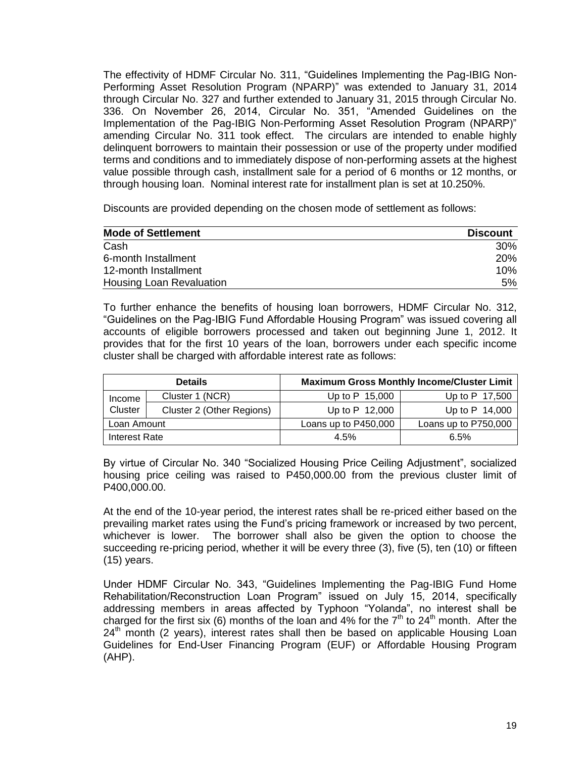The effectivity of HDMF Circular No. 311, "Guidelines Implementing the Pag-IBIG Non-Performing Asset Resolution Program (NPARP)" was extended to January 31, 2014 through Circular No. 327 and further extended to January 31, 2015 through Circular No. 336. On November 26, 2014, Circular No. 351, "Amended Guidelines on the Implementation of the Pag-IBIG Non-Performing Asset Resolution Program (NPARP)" amending Circular No. 311 took effect. The circulars are intended to enable highly delinquent borrowers to maintain their possession or use of the property under modified terms and conditions and to immediately dispose of non-performing assets at the highest value possible through cash, installment sale for a period of 6 months or 12 months, or through housing loan. Nominal interest rate for installment plan is set at 10.250%.

Discounts are provided depending on the chosen mode of settlement as follows:

| <b>Mode of Settlement</b> | <b>Discount</b> |
|---------------------------|-----------------|
| Cash                      | 30%             |
| 6-month Installment       | <b>20%</b>      |
| 12-month Installment      | $10\%$          |
| Housing Loan Revaluation  | 5%              |

To further enhance the benefits of housing loan borrowers, HDMF Circular No. 312, "Guidelines on the Pag-IBIG Fund Affordable Housing Program" was issued covering all accounts of eligible borrowers processed and taken out beginning June 1, 2012. It provides that for the first 10 years of the loan, borrowers under each specific income cluster shall be charged with affordable interest rate as follows:

| <b>Details</b> |                           | <b>Maximum Gross Monthly Income/Cluster Limit</b> |                      |  |
|----------------|---------------------------|---------------------------------------------------|----------------------|--|
| Income         | Cluster 1 (NCR)           | Up to $P$ 15,000                                  | Up to P 17,500       |  |
| Cluster        | Cluster 2 (Other Regions) | Up to $P$ 12,000                                  | Up to $P$ 14,000     |  |
| Loan Amount    |                           | Loans up to P450,000                              | Loans up to P750,000 |  |
| Interest Rate  |                           | 4.5%                                              | 6.5%                 |  |

By virtue of Circular No. 340 "Socialized Housing Price Ceiling Adjustment", socialized housing price ceiling was raised to P450,000.00 from the previous cluster limit of P400,000.00.

At the end of the 10-year period, the interest rates shall be re-priced either based on the prevailing market rates using the Fund's pricing framework or increased by two percent, whichever is lower. The borrower shall also be given the option to choose the succeeding re-pricing period, whether it will be every three (3), five (5), ten (10) or fifteen (15) years.

Under HDMF Circular No. 343, "Guidelines Implementing the Pag-IBIG Fund Home Rehabilitation/Reconstruction Loan Program" issued on July 15, 2014, specifically addressing members in areas affected by Typhoon "Yolanda", no interest shall be charged for the first six (6) months of the loan and 4% for the  $7<sup>th</sup>$  to 24<sup>th</sup> month. After the  $24<sup>th</sup>$  month (2 years), interest rates shall then be based on applicable Housing Loan Guidelines for End-User Financing Program (EUF) or Affordable Housing Program (AHP).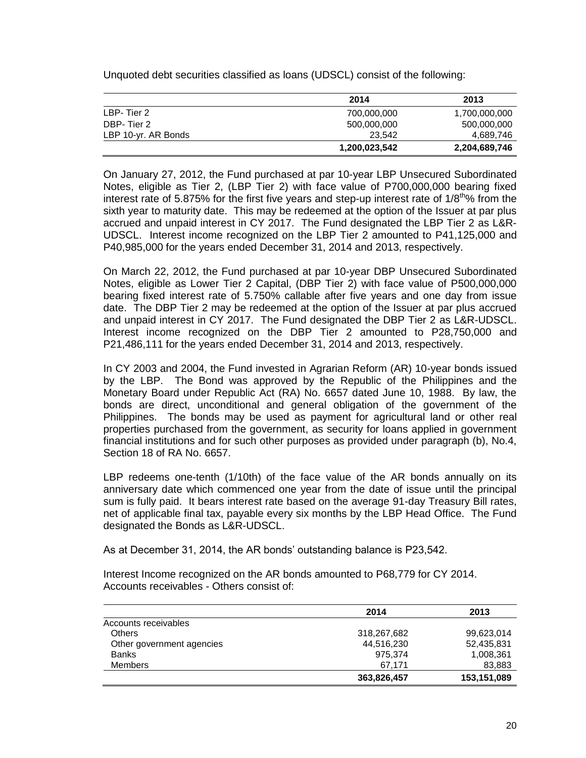Unquoted debt securities classified as loans (UDSCL) consist of the following:

|                     | 2014          | 2013          |
|---------------------|---------------|---------------|
| LBP-Tier 2          | 700,000,000   | 1,700,000,000 |
| DBP-Tier 2          | 500,000,000   | 500,000,000   |
| LBP 10-yr. AR Bonds | 23.542        | 4,689,746     |
|                     | 1,200,023,542 | 2,204,689,746 |

On January 27, 2012, the Fund purchased at par 10-year LBP Unsecured Subordinated Notes, eligible as Tier 2, (LBP Tier 2) with face value of P700,000,000 bearing fixed interest rate of 5.875% for the first five years and step-up interest rate of  $1/8<sup>th</sup>%$  from the sixth year to maturity date. This may be redeemed at the option of the Issuer at par plus accrued and unpaid interest in CY 2017. The Fund designated the LBP Tier 2 as L&R-UDSCL. Interest income recognized on the LBP Tier 2 amounted to P41,125,000 and P40,985,000 for the years ended December 31, 2014 and 2013, respectively.

On March 22, 2012, the Fund purchased at par 10-year DBP Unsecured Subordinated Notes, eligible as Lower Tier 2 Capital, (DBP Tier 2) with face value of P500,000,000 bearing fixed interest rate of 5.750% callable after five years and one day from issue date. The DBP Tier 2 may be redeemed at the option of the Issuer at par plus accrued and unpaid interest in CY 2017. The Fund designated the DBP Tier 2 as L&R-UDSCL. Interest income recognized on the DBP Tier 2 amounted to P28,750,000 and P21,486,111 for the years ended December 31, 2014 and 2013, respectively.

In CY 2003 and 2004, the Fund invested in Agrarian Reform (AR) 10-year bonds issued by the LBP. The Bond was approved by the Republic of the Philippines and the Monetary Board under Republic Act (RA) No. 6657 dated June 10, 1988. By law, the bonds are direct, unconditional and general obligation of the government of the Philippines. The bonds may be used as payment for agricultural land or other real properties purchased from the government, as security for loans applied in government financial institutions and for such other purposes as provided under paragraph (b), No.4, Section 18 of RA No. 6657.

LBP redeems one-tenth (1/10th) of the face value of the AR bonds annually on its anniversary date which commenced one year from the date of issue until the principal sum is fully paid. It bears interest rate based on the average 91-day Treasury Bill rates, net of applicable final tax, payable every six months by the LBP Head Office. The Fund designated the Bonds as L&R-UDSCL.

As at December 31, 2014, the AR bonds' outstanding balance is P23,542.

Interest Income recognized on the AR bonds amounted to P68,779 for CY 2014. Accounts receivables - Others consist of:

|                           | 2014        | 2013        |
|---------------------------|-------------|-------------|
| Accounts receivables      |             |             |
| <b>Others</b>             | 318,267,682 | 99,623,014  |
| Other government agencies | 44,516,230  | 52,435,831  |
| <b>Banks</b>              | 975.374     | 1,008,361   |
| <b>Members</b>            | 67.171      | 83,883      |
|                           | 363,826,457 | 153,151,089 |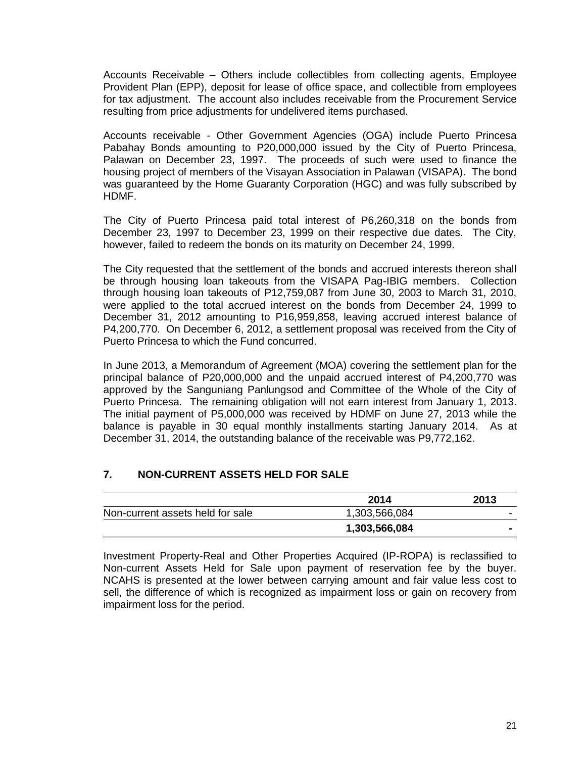Accounts Receivable – Others include collectibles from collecting agents, Employee Provident Plan (EPP), deposit for lease of office space, and collectible from employees for tax adjustment. The account also includes receivable from the Procurement Service resulting from price adjustments for undelivered items purchased.

Accounts receivable - Other Government Agencies (OGA) include Puerto Princesa Pabahay Bonds amounting to P20,000,000 issued by the City of Puerto Princesa, Palawan on December 23, 1997. The proceeds of such were used to finance the housing project of members of the Visayan Association in Palawan (VISAPA). The bond was guaranteed by the Home Guaranty Corporation (HGC) and was fully subscribed by HDMF.

The City of Puerto Princesa paid total interest of P6,260,318 on the bonds from December 23, 1997 to December 23, 1999 on their respective due dates. The City, however, failed to redeem the bonds on its maturity on December 24, 1999.

The City requested that the settlement of the bonds and accrued interests thereon shall be through housing loan takeouts from the VISAPA Pag-IBIG members. Collection through housing loan takeouts of P12,759,087 from June 30, 2003 to March 31, 2010, were applied to the total accrued interest on the bonds from December 24, 1999 to December 31, 2012 amounting to P16,959,858, leaving accrued interest balance of P4,200,770. On December 6, 2012, a settlement proposal was received from the City of Puerto Princesa to which the Fund concurred.

In June 2013, a Memorandum of Agreement (MOA) covering the settlement plan for the principal balance of P20,000,000 and the unpaid accrued interest of P4,200,770 was approved by the Sanguniang Panlungsod and Committee of the Whole of the City of Puerto Princesa. The remaining obligation will not earn interest from January 1, 2013. The initial payment of P5,000,000 was received by HDMF on June 27, 2013 while the balance is payable in 30 equal monthly installments starting January 2014. As at December 31, 2014, the outstanding balance of the receivable was P9,772,162.

## **7. NON-CURRENT ASSETS HELD FOR SALE**

|                                  | 2014          | 2013           |
|----------------------------------|---------------|----------------|
| Non-current assets held for sale | 1,303,566,084 | -              |
|                                  | 1,303,566,084 | $\blacksquare$ |

Investment Property-Real and Other Properties Acquired (IP-ROPA) is reclassified to Non-current Assets Held for Sale upon payment of reservation fee by the buyer. NCAHS is presented at the lower between carrying amount and fair value less cost to sell, the difference of which is recognized as impairment loss or gain on recovery from impairment loss for the period.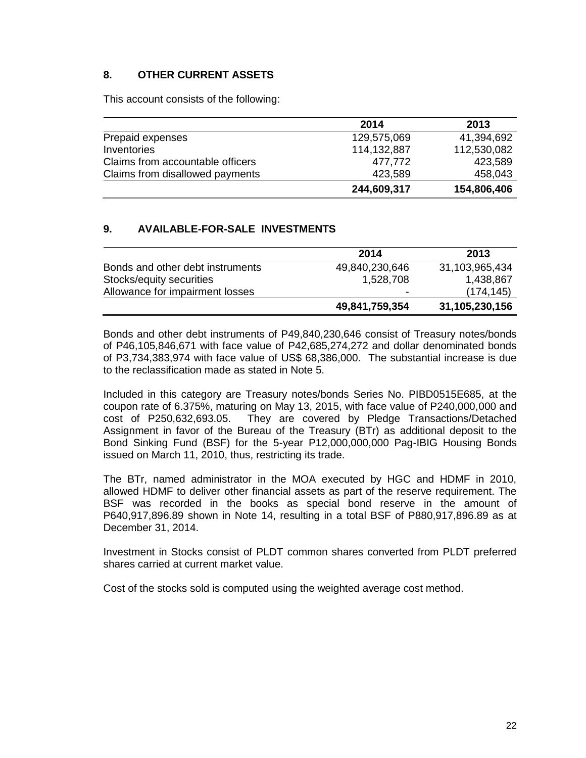### **8. OTHER CURRENT ASSETS**

This account consists of the following:

|                                  | 2014        | 2013        |
|----------------------------------|-------------|-------------|
| Prepaid expenses                 | 129,575,069 | 41,394,692  |
| Inventories                      | 114,132,887 | 112,530,082 |
| Claims from accountable officers | 477,772     | 423,589     |
| Claims from disallowed payments  | 423,589     | 458,043     |
|                                  | 244,609,317 | 154,806,406 |

### **9. AVAILABLE-FOR-SALE INVESTMENTS**

|                                  | 2014           | 2013           |
|----------------------------------|----------------|----------------|
| Bonds and other debt instruments | 49,840,230,646 | 31,103,965,434 |
| Stocks/equity securities         | 1,528,708      | 1,438,867      |
| Allowance for impairment losses  |                | (174, 145)     |
|                                  | 49,841,759,354 | 31,105,230,156 |

Bonds and other debt instruments of P49,840,230,646 consist of Treasury notes/bonds of P46,105,846,671 with face value of P42,685,274,272 and dollar denominated bonds of P3,734,383,974 with face value of US\$ 68,386,000. The substantial increase is due to the reclassification made as stated in Note 5.

Included in this category are Treasury notes/bonds Series No. PIBD0515E685, at the coupon rate of 6.375%, maturing on May 13, 2015, with face value of P240,000,000 and cost of P250,632,693.05. They are covered by Pledge Transactions/Detached Assignment in favor of the Bureau of the Treasury (BTr) as additional deposit to the Bond Sinking Fund (BSF) for the 5-year P12,000,000,000 Pag-IBIG Housing Bonds issued on March 11, 2010, thus, restricting its trade.

The BTr, named administrator in the MOA executed by HGC and HDMF in 2010, allowed HDMF to deliver other financial assets as part of the reserve requirement. The BSF was recorded in the books as special bond reserve in the amount of P640,917,896.89 shown in Note 14, resulting in a total BSF of P880,917,896.89 as at December 31, 2014.

Investment in Stocks consist of PLDT common shares converted from PLDT preferred shares carried at current market value.

Cost of the stocks sold is computed using the weighted average cost method.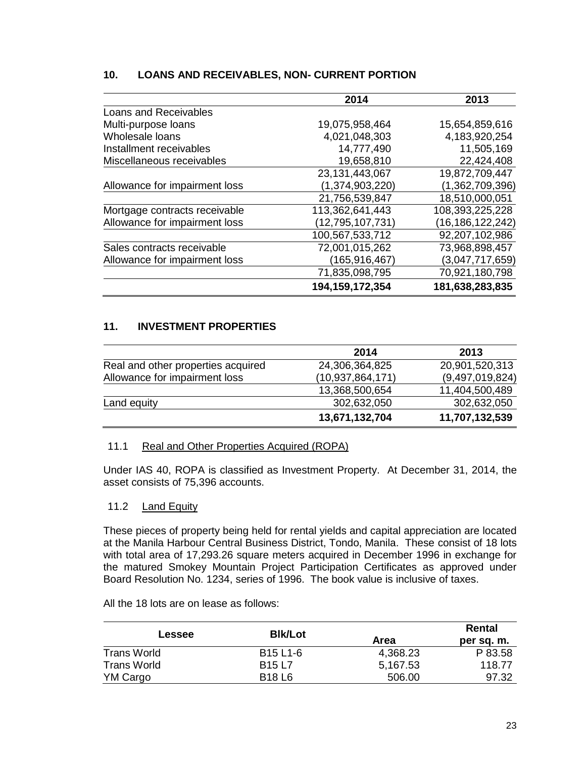### **10. LOANS AND RECEIVABLES, NON- CURRENT PORTION**

|                               | 2014               | 2013             |
|-------------------------------|--------------------|------------------|
| Loans and Receivables         |                    |                  |
| Multi-purpose loans           | 19,075,958,464     | 15,654,859,616   |
| Wholesale loans               | 4,021,048,303      | 4,183,920,254    |
| Installment receivables       | 14,777,490         | 11,505,169       |
| Miscellaneous receivables     | 19,658,810         | 22,424,408       |
|                               | 23,131,443,067     | 19,872,709,447   |
| Allowance for impairment loss | (1,374,903,220)    | (1,362,709,396)  |
|                               | 21,756,539,847     | 18,510,000,051   |
| Mortgage contracts receivable | 113,362,641,443    | 108,393,225,228  |
| Allowance for impairment loss | (12,795,107,731)   | (16,186,122,242) |
|                               | 100,567,533,712    | 92,207,102,986   |
| Sales contracts receivable    | 72,001,015,262     | 73,968,898,457   |
| Allowance for impairment loss | (165, 916, 467)    | (3,047,717,659)  |
|                               | 71,835,098,795     | 70,921,180,798   |
|                               | 194, 159, 172, 354 | 181,638,283,835  |

### **11. INVESTMENT PROPERTIES**

|                                    | 2014                | 2013            |
|------------------------------------|---------------------|-----------------|
| Real and other properties acquired | 24,306,364,825      | 20,901,520,313  |
| Allowance for impairment loss      | (10, 937, 864, 171) | (9,497,019,824) |
|                                    | 13,368,500,654      | 11,404,500,489  |
| Land equity                        | 302,632,050         | 302,632,050     |
|                                    | 13,671,132,704      | 11,707,132,539  |

### 11.1 Real and Other Properties Acquired (ROPA)

Under IAS 40, ROPA is classified as Investment Property. At December 31, 2014, the asset consists of 75,396 accounts.

#### 11.2 Land Equity

These pieces of property being held for rental yields and capital appreciation are located at the Manila Harbour Central Business District, Tondo, Manila. These consist of 18 lots with total area of 17,293.26 square meters acquired in December 1996 in exchange for the matured Smokey Mountain Project Participation Certificates as approved under Board Resolution No. 1234, series of 1996. The book value is inclusive of taxes.

All the 18 lots are on lease as follows:

|                    | <b>BIk/Lot</b>                    |          | Rental     |
|--------------------|-----------------------------------|----------|------------|
| <b>Lessee</b>      |                                   | Area     | per sq. m. |
| <b>Trans World</b> | B <sub>15</sub> L <sub>1</sub> -6 | 4,368.23 | P 83.58    |
| <b>Trans World</b> | <b>B15 L7</b>                     | 5.167.53 | 118.77     |
| YM Cargo           | <b>B18 L6</b>                     | 506.00   | 97.32      |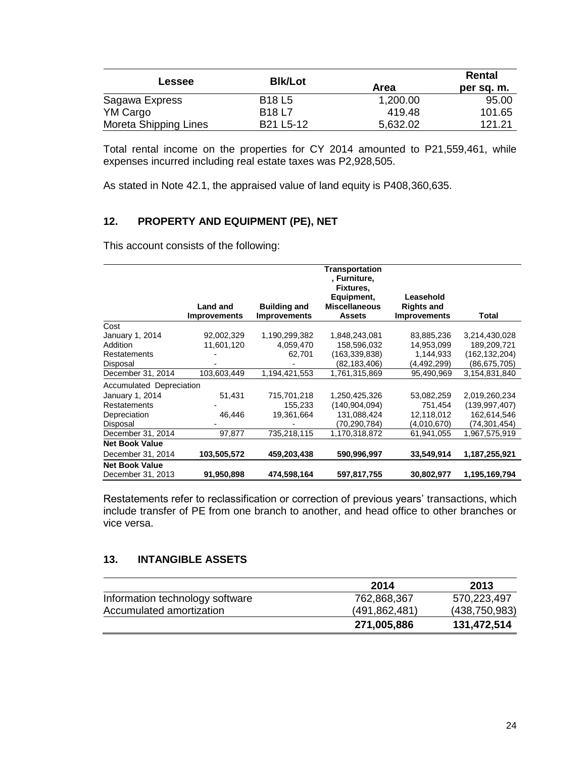| <b>Lessee</b>         | <b>BIk/Lot</b>                     | Area     | Rental<br>per sq. m. |
|-----------------------|------------------------------------|----------|----------------------|
| Sagawa Express        | <b>B18 L5</b>                      | 1,200.00 | 95.00                |
| YM Cargo              | <b>B18 L7</b>                      | 419.48   | 101.65               |
| Moreta Shipping Lines | B <sub>21</sub> L <sub>5</sub> -12 | 5,632.02 | 121.21               |

Total rental income on the properties for CY 2014 amounted to P21,559,461, while expenses incurred including real estate taxes was P2,928,505.

As stated in Note 42.1, the appraised value of land equity is P408,360,635.

### **12. PROPERTY AND EQUIPMENT (PE), NET**

This account consists of the following:

|                          |                     |                     | <b>Transportation</b><br>, Furniture, |                     |                 |
|--------------------------|---------------------|---------------------|---------------------------------------|---------------------|-----------------|
|                          |                     |                     | Fixtures,                             |                     |                 |
|                          |                     |                     | Equipment,                            | Leasehold           |                 |
|                          | <b>Land and</b>     | <b>Building and</b> | <b>Miscellaneous</b>                  | <b>Rights and</b>   |                 |
|                          | <b>Improvements</b> | <b>Improvements</b> | <b>Assets</b>                         | <b>Improvements</b> | Total           |
| Cost                     |                     |                     |                                       |                     |                 |
| January 1, 2014          | 92,002,329          | 1,190,299,382       | 1,848,243,081                         | 83,885,236          | 3,214,430,028   |
| Addition                 | 11,601,120          | 4,059,470           | 158,596,032                           | 14,953,099          | 189,209,721     |
| <b>Restatements</b>      |                     | 62,701              | (163, 339, 838)                       | 1,144,933           | (162, 132, 204) |
| Disposal                 |                     |                     | (82,183,406)                          | (4,492,299)         | (86,675,705)    |
| December 31, 2014        | 103,603,449         | 1,194,421,553       | 1,761,315,869                         | 95,490,969          | 3,154,831,840   |
| Accumulated Depreciation |                     |                     |                                       |                     |                 |
| January 1, 2014          | 51,431              | 715,701,218         | 1,250,425,326                         | 53,082,259          | 2,019,260,234   |
| <b>Restatements</b>      |                     | 155,233             | (140, 904, 094)                       | 751,454             | (139, 997, 407) |
| Depreciation             | 46,446              | 19,361,664          | 131,088,424                           | 12,118,012          | 162,614,546     |
| Disposal                 |                     |                     | (70,290,784)                          | (4,010,670)         | (74,301,454)    |
| December 31, 2014        | 97,877              | 735,218,115         | 1,170,318,872                         | 61,941,055          | 1,967,575,919   |
| <b>Net Book Value</b>    |                     |                     |                                       |                     |                 |
| December 31, 2014        | 103,505,572         | 459,203,438         | 590,996,997                           | 33,549,914          | 1,187,255,921   |
| <b>Net Book Value</b>    |                     |                     |                                       |                     |                 |
| December 31, 2013        | 91,950,898          | 474,598,164         | 597,817,755                           | 30,802,977          | 1,195,169,794   |

Restatements refer to reclassification or correction of previous years' transactions, which include transfer of PE from one branch to another, and head office to other branches or vice versa.

### **13. INTANGIBLE ASSETS**

|                                 | 2014          | 2013            |
|---------------------------------|---------------|-----------------|
| Information technology software | 762,868,367   | 570,223,497     |
| Accumulated amortization        | (491,862,481) | (438, 750, 983) |
|                                 | 271,005,886   | 131,472,514     |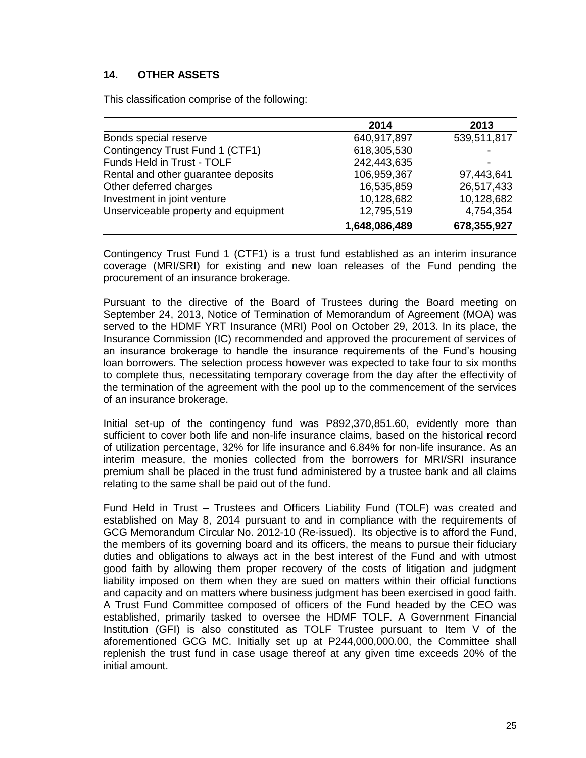## **14. OTHER ASSETS**

This classification comprise of the following:

|                                      | 2014          | 2013        |
|--------------------------------------|---------------|-------------|
| Bonds special reserve                | 640,917,897   | 539,511,817 |
| Contingency Trust Fund 1 (CTF1)      | 618,305,530   |             |
| Funds Held in Trust - TOLF           | 242,443,635   |             |
| Rental and other guarantee deposits  | 106,959,367   | 97,443,641  |
| Other deferred charges               | 16,535,859    | 26,517,433  |
| Investment in joint venture          | 10,128,682    | 10,128,682  |
| Unserviceable property and equipment | 12,795,519    | 4,754,354   |
|                                      | 1,648,086,489 | 678,355,927 |

Contingency Trust Fund 1 (CTF1) is a trust fund established as an interim insurance coverage (MRI/SRI) for existing and new loan releases of the Fund pending the procurement of an insurance brokerage.

Pursuant to the directive of the Board of Trustees during the Board meeting on September 24, 2013, Notice of Termination of Memorandum of Agreement (MOA) was served to the HDMF YRT Insurance (MRI) Pool on October 29, 2013. In its place, the Insurance Commission (IC) recommended and approved the procurement of services of an insurance brokerage to handle the insurance requirements of the Fund's housing loan borrowers. The selection process however was expected to take four to six months to complete thus, necessitating temporary coverage from the day after the effectivity of the termination of the agreement with the pool up to the commencement of the services of an insurance brokerage.

Initial set-up of the contingency fund was P892,370,851.60, evidently more than sufficient to cover both life and non-life insurance claims, based on the historical record of utilization percentage, 32% for life insurance and 6.84% for non-life insurance. As an interim measure, the monies collected from the borrowers for MRI/SRI insurance premium shall be placed in the trust fund administered by a trustee bank and all claims relating to the same shall be paid out of the fund.

Fund Held in Trust – Trustees and Officers Liability Fund (TOLF) was created and established on May 8, 2014 pursuant to and in compliance with the requirements of GCG Memorandum Circular No. 2012-10 (Re-issued). Its objective is to afford the Fund, the members of its governing board and its officers, the means to pursue their fiduciary duties and obligations to always act in the best interest of the Fund and with utmost good faith by allowing them proper recovery of the costs of litigation and judgment liability imposed on them when they are sued on matters within their official functions and capacity and on matters where business judgment has been exercised in good faith. A Trust Fund Committee composed of officers of the Fund headed by the CEO was established, primarily tasked to oversee the HDMF TOLF. A Government Financial Institution (GFI) is also constituted as TOLF Trustee pursuant to Item V of the aforementioned GCG MC. Initially set up at P244,000,000.00, the Committee shall replenish the trust fund in case usage thereof at any given time exceeds 20% of the initial amount.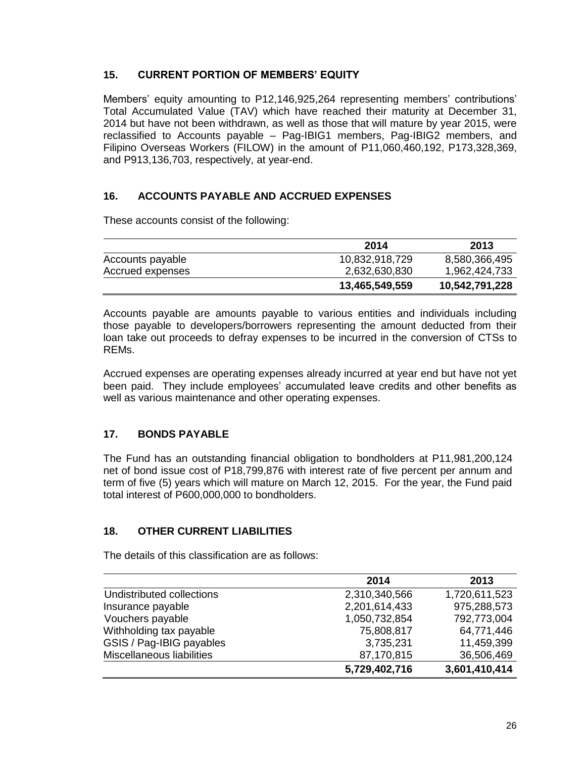### **15. CURRENT PORTION OF MEMBERS' EQUITY**

Members' equity amounting to P12,146,925,264 representing members' contributions' Total Accumulated Value (TAV) which have reached their maturity at December 31, 2014 but have not been withdrawn, as well as those that will mature by year 2015, were reclassified to Accounts payable – Pag-IBIG1 members, Pag-IBIG2 members, and Filipino Overseas Workers (FILOW) in the amount of P11,060,460,192, P173,328,369, and P913,136,703, respectively, at year-end.

### **16. ACCOUNTS PAYABLE AND ACCRUED EXPENSES**

These accounts consist of the following:

|                  | 2014           | 2013           |
|------------------|----------------|----------------|
| Accounts payable | 10,832,918,729 | 8,580,366,495  |
| Accrued expenses | 2,632,630,830  | 1,962,424,733  |
|                  | 13,465,549,559 | 10,542,791,228 |

Accounts payable are amounts payable to various entities and individuals including those payable to developers/borrowers representing the amount deducted from their loan take out proceeds to defray expenses to be incurred in the conversion of CTSs to REMs.

Accrued expenses are operating expenses already incurred at year end but have not yet been paid. They include employees' accumulated leave credits and other benefits as well as various maintenance and other operating expenses.

## **17. BONDS PAYABLE**

The Fund has an outstanding financial obligation to bondholders at P11,981,200,124 net of bond issue cost of P18,799,876 with interest rate of five percent per annum and term of five (5) years which will mature on March 12, 2015. For the year, the Fund paid total interest of P600,000,000 to bondholders.

## **18. OTHER CURRENT LIABILITIES**

The details of this classification are as follows:

|                           | 2014          | 2013          |
|---------------------------|---------------|---------------|
| Undistributed collections | 2,310,340,566 | 1,720,611,523 |
| Insurance payable         | 2,201,614,433 | 975,288,573   |
| Vouchers payable          | 1,050,732,854 | 792,773,004   |
| Withholding tax payable   | 75,808,817    | 64,771,446    |
| GSIS / Pag-IBIG payables  | 3,735,231     | 11,459,399    |
| Miscellaneous liabilities | 87,170,815    | 36,506,469    |
|                           | 5,729,402,716 | 3,601,410,414 |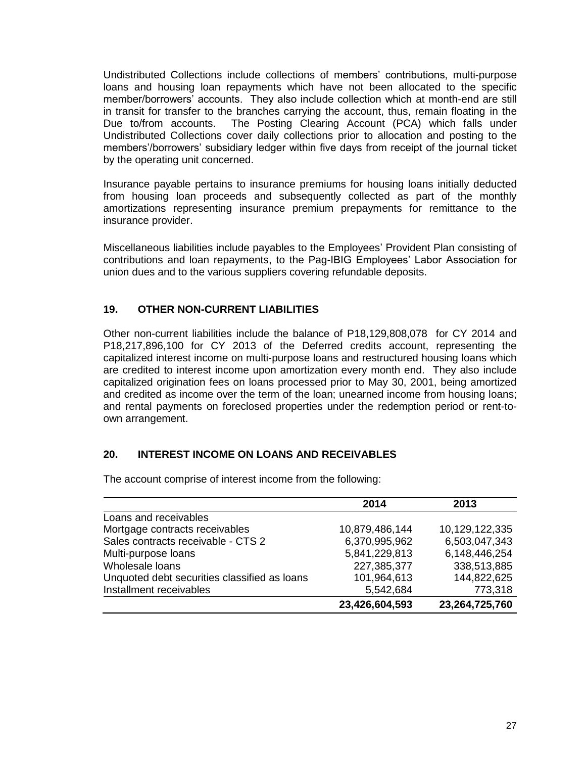Undistributed Collections include collections of members' contributions, multi-purpose loans and housing loan repayments which have not been allocated to the specific member/borrowers' accounts. They also include collection which at month-end are still in transit for transfer to the branches carrying the account, thus, remain floating in the Due to/from accounts. The Posting Clearing Account (PCA) which falls under Undistributed Collections cover daily collections prior to allocation and posting to the members'/borrowers' subsidiary ledger within five days from receipt of the journal ticket by the operating unit concerned.

Insurance payable pertains to insurance premiums for housing loans initially deducted from housing loan proceeds and subsequently collected as part of the monthly amortizations representing insurance premium prepayments for remittance to the insurance provider.

Miscellaneous liabilities include payables to the Employees' Provident Plan consisting of contributions and loan repayments, to the Pag-IBIG Employees' Labor Association for union dues and to the various suppliers covering refundable deposits.

## **19. OTHER NON-CURRENT LIABILITIES**

Other non-current liabilities include the balance of P18,129,808,078 for CY 2014 and P18,217,896,100 for CY 2013 of the Deferred credits account, representing the capitalized interest income on multi-purpose loans and restructured housing loans which are credited to interest income upon amortization every month end. They also include capitalized origination fees on loans processed prior to May 30, 2001, being amortized and credited as income over the term of the loan; unearned income from housing loans; and rental payments on foreclosed properties under the redemption period or rent-toown arrangement.

### **20. INTEREST INCOME ON LOANS AND RECEIVABLES**

The account comprise of interest income from the following:

|                                              | 2014           | 2013           |
|----------------------------------------------|----------------|----------------|
| Loans and receivables                        |                |                |
| Mortgage contracts receivables               | 10,879,486,144 | 10,129,122,335 |
| Sales contracts receivable - CTS 2           | 6,370,995,962  | 6,503,047,343  |
| Multi-purpose loans                          | 5,841,229,813  | 6,148,446,254  |
| Wholesale loans                              | 227,385,377    | 338,513,885    |
| Unquoted debt securities classified as loans | 101,964,613    | 144,822,625    |
| Installment receivables                      | 5,542,684      | 773,318        |
|                                              | 23,426,604,593 | 23,264,725,760 |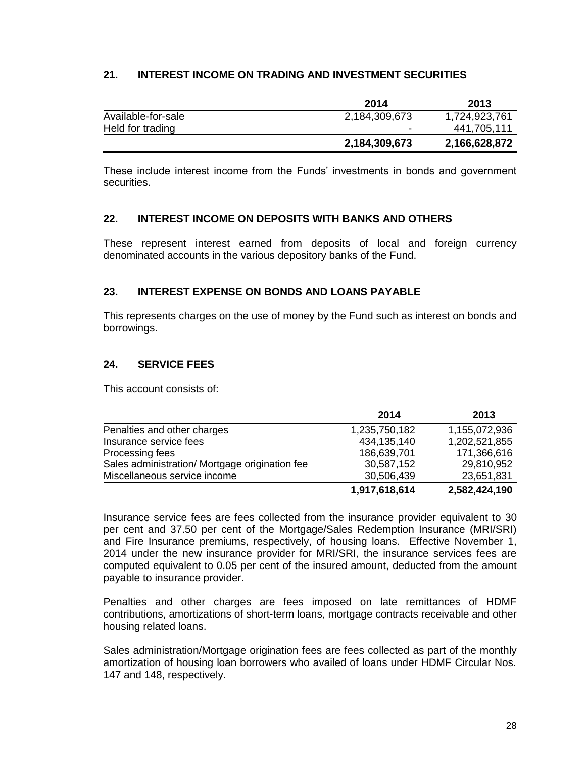### **21. INTEREST INCOME ON TRADING AND INVESTMENT SECURITIES**

|                    | 2014          | 2013          |
|--------------------|---------------|---------------|
| Available-for-sale | 2,184,309,673 | 1,724,923,761 |
| Held for trading   | -             | 441,705,111   |
|                    | 2,184,309,673 | 2,166,628,872 |

These include interest income from the Funds' investments in bonds and government securities.

### **22. INTEREST INCOME ON DEPOSITS WITH BANKS AND OTHERS**

These represent interest earned from deposits of local and foreign currency denominated accounts in the various depository banks of the Fund.

### **23. INTEREST EXPENSE ON BONDS AND LOANS PAYABLE**

This represents charges on the use of money by the Fund such as interest on bonds and borrowings.

### **24. SERVICE FEES**

This account consists of:

|                                                | 2014          | 2013          |
|------------------------------------------------|---------------|---------------|
| Penalties and other charges                    | 1,235,750,182 | 1,155,072,936 |
| Insurance service fees                         | 434, 135, 140 | 1,202,521,855 |
| Processing fees                                | 186,639,701   | 171,366,616   |
| Sales administration/ Mortgage origination fee | 30,587,152    | 29,810,952    |
| Miscellaneous service income                   | 30,506,439    | 23,651,831    |
|                                                | 1,917,618,614 | 2,582,424,190 |

Insurance service fees are fees collected from the insurance provider equivalent to 30 per cent and 37.50 per cent of the Mortgage/Sales Redemption Insurance (MRI/SRI) and Fire Insurance premiums, respectively, of housing loans. Effective November 1, 2014 under the new insurance provider for MRI/SRI, the insurance services fees are computed equivalent to 0.05 per cent of the insured amount, deducted from the amount payable to insurance provider.

Penalties and other charges are fees imposed on late remittances of HDMF contributions, amortizations of short-term loans, mortgage contracts receivable and other housing related loans.

Sales administration/Mortgage origination fees are fees collected as part of the monthly amortization of housing loan borrowers who availed of loans under HDMF Circular Nos. 147 and 148, respectively.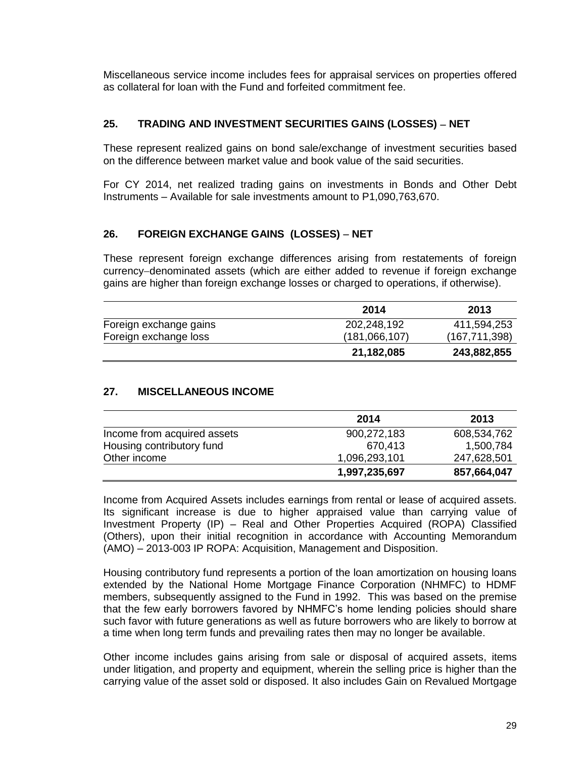Miscellaneous service income includes fees for appraisal services on properties offered as collateral for loan with the Fund and forfeited commitment fee.

### **25. TRADING AND INVESTMENT SECURITIES GAINS (LOSSES) NET**

These represent realized gains on bond sale/exchange of investment securities based on the difference between market value and book value of the said securities.

For CY 2014, net realized trading gains on investments in Bonds and Other Debt Instruments – Available for sale investments amount to P1,090,763,670.

### **26. FOREIGN EXCHANGE GAINS (LOSSES) NET**

These represent foreign exchange differences arising from restatements of foreign currency-denominated assets (which are either added to revenue if foreign exchange gains are higher than foreign exchange losses or charged to operations, if otherwise).

|                        | 2014          | 2013            |
|------------------------|---------------|-----------------|
| Foreign exchange gains | 202,248,192   | 411,594,253     |
| Foreign exchange loss  | (181,066,107) | (167, 711, 398) |
|                        | 21,182,085    | 243,882,855     |

### **27. MISCELLANEOUS INCOME**

|                             | 2014          | 2013        |
|-----------------------------|---------------|-------------|
| Income from acquired assets | 900,272,183   | 608,534,762 |
| Housing contributory fund   | 670.413       | 1,500,784   |
| Other income                | 1,096,293,101 | 247,628,501 |
|                             | 1,997,235,697 | 857,664,047 |

Income from Acquired Assets includes earnings from rental or lease of acquired assets. Its significant increase is due to higher appraised value than carrying value of Investment Property (IP) – Real and Other Properties Acquired (ROPA) Classified (Others), upon their initial recognition in accordance with Accounting Memorandum (AMO) – 2013-003 IP ROPA: Acquisition, Management and Disposition.

Housing contributory fund represents a portion of the loan amortization on housing loans extended by the National Home Mortgage Finance Corporation (NHMFC) to HDMF members, subsequently assigned to the Fund in 1992. This was based on the premise that the few early borrowers favored by NHMFC's home lending policies should share such favor with future generations as well as future borrowers who are likely to borrow at a time when long term funds and prevailing rates then may no longer be available.

Other income includes gains arising from sale or disposal of acquired assets, items under litigation, and property and equipment, wherein the selling price is higher than the carrying value of the asset sold or disposed. It also includes Gain on Revalued Mortgage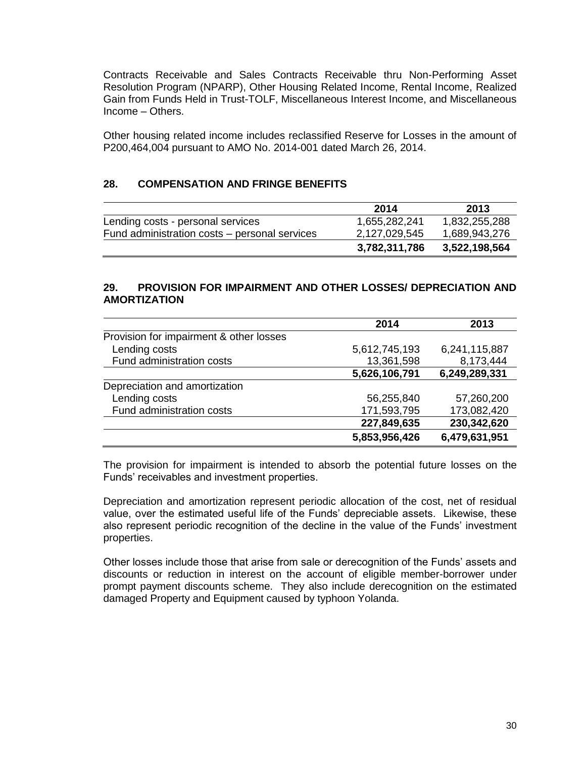Contracts Receivable and Sales Contracts Receivable thru Non-Performing Asset Resolution Program (NPARP), Other Housing Related Income, Rental Income, Realized Gain from Funds Held in Trust-TOLF, Miscellaneous Interest Income, and Miscellaneous Income – Others.

Other housing related income includes reclassified Reserve for Losses in the amount of P200,464,004 pursuant to AMO No. 2014-001 dated March 26, 2014.

### **28. COMPENSATION AND FRINGE BENEFITS**

|                                               | 2014          | 2013          |
|-----------------------------------------------|---------------|---------------|
| Lending costs - personal services             | 1,655,282,241 | 1,832,255,288 |
| Fund administration costs – personal services | 2,127,029,545 | 1,689,943,276 |
|                                               | 3,782,311,786 | 3,522,198,564 |

### **29. PROVISION FOR IMPAIRMENT AND OTHER LOSSES/ DEPRECIATION AND AMORTIZATION**

|                                         | 2014          | 2013          |
|-----------------------------------------|---------------|---------------|
| Provision for impairment & other losses |               |               |
| Lending costs                           | 5,612,745,193 | 6,241,115,887 |
| Fund administration costs               | 13,361,598    | 8,173,444     |
|                                         | 5,626,106,791 | 6,249,289,331 |
| Depreciation and amortization           |               |               |
| Lending costs                           | 56,255,840    | 57,260,200    |
| Fund administration costs               | 171,593,795   | 173,082,420   |
|                                         | 227,849,635   | 230,342,620   |
|                                         | 5,853,956,426 | 6,479,631,951 |

The provision for impairment is intended to absorb the potential future losses on the Funds' receivables and investment properties.

Depreciation and amortization represent periodic allocation of the cost, net of residual value, over the estimated useful life of the Funds' depreciable assets. Likewise, these also represent periodic recognition of the decline in the value of the Funds' investment properties.

Other losses include those that arise from sale or derecognition of the Funds' assets and discounts or reduction in interest on the account of eligible member-borrower under prompt payment discounts scheme. They also include derecognition on the estimated damaged Property and Equipment caused by typhoon Yolanda.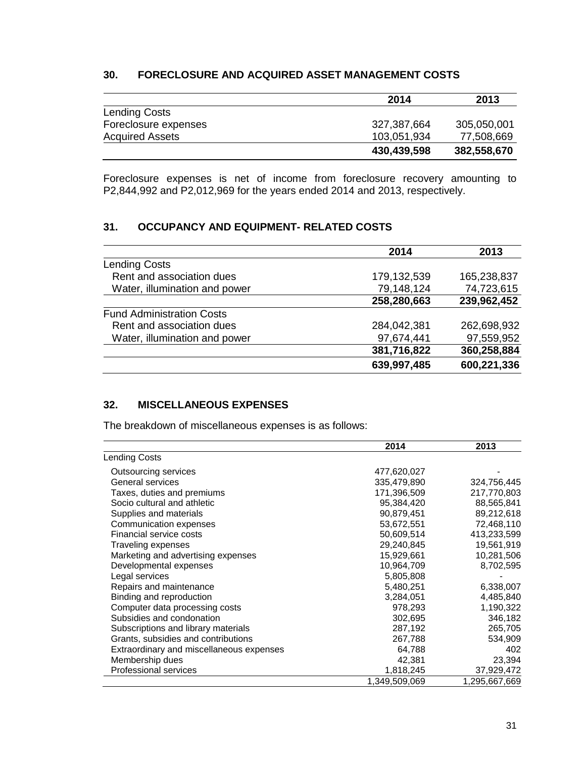### **30. FORECLOSURE AND ACQUIRED ASSET MANAGEMENT COSTS**

|                        | 2014        | 2013        |
|------------------------|-------------|-------------|
| <b>Lending Costs</b>   |             |             |
| Foreclosure expenses   | 327,387,664 | 305,050,001 |
| <b>Acquired Assets</b> | 103,051,934 | 77,508,669  |
|                        | 430,439,598 | 382,558,670 |

Foreclosure expenses is net of income from foreclosure recovery amounting to P2,844,992 and P2,012,969 for the years ended 2014 and 2013, respectively.

### **31. OCCUPANCY AND EQUIPMENT- RELATED COSTS**

|                                  | 2014        | 2013        |
|----------------------------------|-------------|-------------|
| <b>Lending Costs</b>             |             |             |
| Rent and association dues        | 179,132,539 | 165,238,837 |
| Water, illumination and power    | 79,148,124  | 74,723,615  |
|                                  | 258,280,663 | 239,962,452 |
| <b>Fund Administration Costs</b> |             |             |
| Rent and association dues        | 284,042,381 | 262,698,932 |
| Water, illumination and power    | 97,674,441  | 97,559,952  |
|                                  | 381,716,822 | 360,258,884 |
|                                  | 639,997,485 | 600,221,336 |

### **32. MISCELLANEOUS EXPENSES**

The breakdown of miscellaneous expenses is as follows:

|                                          | 2014          | 2013          |
|------------------------------------------|---------------|---------------|
| Lending Costs                            |               |               |
| Outsourcing services                     | 477,620,027   |               |
| General services                         | 335,479,890   | 324,756,445   |
| Taxes, duties and premiums               | 171,396,509   | 217,770,803   |
| Socio cultural and athletic              | 95,384,420    | 88,565,841    |
| Supplies and materials                   | 90,879,451    | 89,212,618    |
| Communication expenses                   | 53,672,551    | 72,468,110    |
| Financial service costs                  | 50,609,514    | 413,233,599   |
| Traveling expenses                       | 29,240,845    | 19,561,919    |
| Marketing and advertising expenses       | 15,929,661    | 10,281,506    |
| Developmental expenses                   | 10,964,709    | 8,702,595     |
| Legal services                           | 5,805,808     |               |
| Repairs and maintenance                  | 5,480,251     | 6,338,007     |
| Binding and reproduction                 | 3,284,051     | 4,485,840     |
| Computer data processing costs           | 978,293       | 1,190,322     |
| Subsidies and condonation                | 302,695       | 346,182       |
| Subscriptions and library materials      | 287,192       | 265,705       |
| Grants, subsidies and contributions      | 267,788       | 534,909       |
| Extraordinary and miscellaneous expenses | 64,788        | 402           |
| Membership dues                          | 42,381        | 23,394        |
| Professional services                    | 1,818,245     | 37,929,472    |
|                                          | 1,349,509,069 | 1,295,667,669 |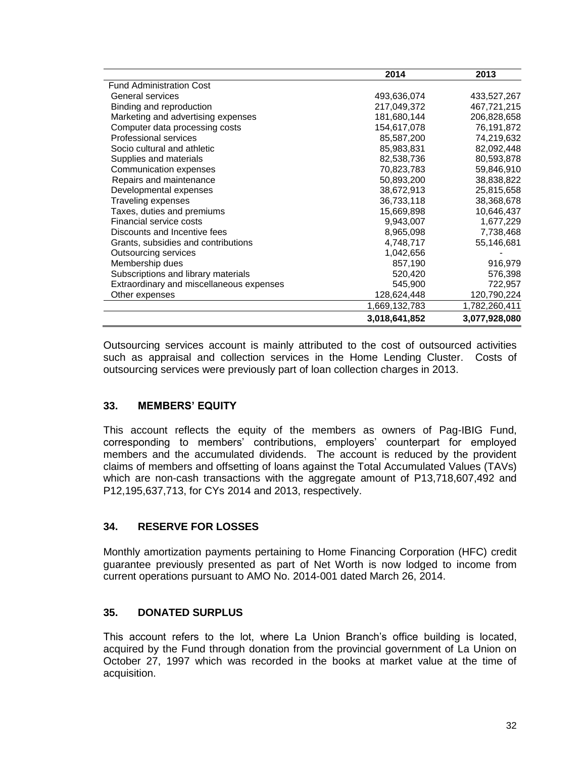|                                          | 2014          | 2013          |
|------------------------------------------|---------------|---------------|
| <b>Fund Administration Cost</b>          |               |               |
| General services                         | 493,636,074   | 433,527,267   |
| Binding and reproduction                 | 217,049,372   | 467,721,215   |
| Marketing and advertising expenses       | 181,680,144   | 206,828,658   |
| Computer data processing costs           | 154,617,078   | 76,191,872    |
| Professional services                    | 85,587,200    | 74,219,632    |
| Socio cultural and athletic              | 85,983,831    | 82,092,448    |
| Supplies and materials                   | 82,538,736    | 80,593,878    |
| Communication expenses                   | 70,823,783    | 59,846,910    |
| Repairs and maintenance                  | 50,893,200    | 38,838,822    |
| Developmental expenses                   | 38,672,913    | 25,815,658    |
| Traveling expenses                       | 36,733,118    | 38,368,678    |
| Taxes, duties and premiums               | 15,669,898    | 10,646,437    |
| Financial service costs                  | 9,943,007     | 1,677,229     |
| Discounts and Incentive fees             | 8,965,098     | 7,738,468     |
| Grants, subsidies and contributions      | 4,748,717     | 55,146,681    |
| Outsourcing services                     | 1,042,656     |               |
| Membership dues                          | 857,190       | 916,979       |
| Subscriptions and library materials      | 520,420       | 576,398       |
| Extraordinary and miscellaneous expenses | 545,900       | 722,957       |
| Other expenses                           | 128,624,448   | 120,790,224   |
|                                          | 1,669,132,783 | 1,782,260,411 |
|                                          | 3.018.641.852 | 3,077,928,080 |

Outsourcing services account is mainly attributed to the cost of outsourced activities such as appraisal and collection services in the Home Lending Cluster. Costs of outsourcing services were previously part of loan collection charges in 2013.

## **33. MEMBERS' EQUITY**

This account reflects the equity of the members as owners of Pag-IBIG Fund, corresponding to members' contributions, employers' counterpart for employed members and the accumulated dividends. The account is reduced by the provident claims of members and offsetting of loans against the Total Accumulated Values (TAVs) which are non-cash transactions with the aggregate amount of P13,718,607,492 and P12,195,637,713, for CYs 2014 and 2013, respectively.

## **34. RESERVE FOR LOSSES**

Monthly amortization payments pertaining to Home Financing Corporation (HFC) credit guarantee previously presented as part of Net Worth is now lodged to income from current operations pursuant to AMO No. 2014-001 dated March 26, 2014.

### **35. DONATED SURPLUS**

This account refers to the lot, where La Union Branch's office building is located, acquired by the Fund through donation from the provincial government of La Union on October 27, 1997 which was recorded in the books at market value at the time of acquisition.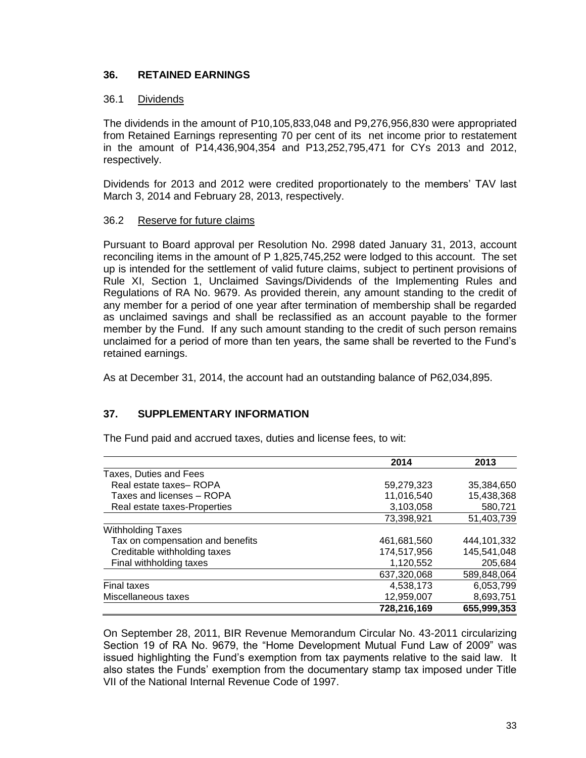### **36. RETAINED EARNINGS**

### 36.1 Dividends

The dividends in the amount of P10,105,833,048 and P9,276,956,830 were appropriated from Retained Earnings representing 70 per cent of its net income prior to restatement in the amount of P14,436,904,354 and P13,252,795,471 for CYs 2013 and 2012, respectively.

Dividends for 2013 and 2012 were credited proportionately to the members' TAV last March 3, 2014 and February 28, 2013, respectively.

### 36.2 Reserve for future claims

Pursuant to Board approval per Resolution No. 2998 dated January 31, 2013, account reconciling items in the amount of P 1,825,745,252 were lodged to this account. The set up is intended for the settlement of valid future claims, subject to pertinent provisions of Rule XI, Section 1, Unclaimed Savings/Dividends of the Implementing Rules and Regulations of RA No. 9679. As provided therein, any amount standing to the credit of any member for a period of one year after termination of membership shall be regarded as unclaimed savings and shall be reclassified as an account payable to the former member by the Fund. If any such amount standing to the credit of such person remains unclaimed for a period of more than ten years, the same shall be reverted to the Fund's retained earnings.

As at December 31, 2014, the account had an outstanding balance of P62,034,895.

### **37. SUPPLEMENTARY INFORMATION**

The Fund paid and accrued taxes, duties and license fees, to wit:

|                                  | 2014        | 2013        |
|----------------------------------|-------------|-------------|
| Taxes, Duties and Fees           |             |             |
| Real estate taxes-ROPA           | 59,279,323  | 35,384,650  |
| Taxes and licenses - ROPA        | 11,016,540  | 15,438,368  |
| Real estate taxes-Properties     | 3,103,058   | 580,721     |
|                                  | 73,398,921  | 51,403,739  |
| <b>Withholding Taxes</b>         |             |             |
| Tax on compensation and benefits | 461.681.560 | 444.101.332 |
| Creditable withholding taxes     | 174,517,956 | 145,541,048 |
| Final withholding taxes          | 1,120,552   | 205,684     |
|                                  | 637,320,068 | 589,848,064 |
| <b>Final taxes</b>               | 4,538,173   | 6,053,799   |
| Miscellaneous taxes              | 12,959,007  | 8,693,751   |
|                                  | 728,216,169 | 655,999,353 |

On September 28, 2011, BIR Revenue Memorandum Circular No. 43-2011 circularizing Section 19 of RA No. 9679, the "Home Development Mutual Fund Law of 2009" was issued highlighting the Fund's exemption from tax payments relative to the said law. It also states the Funds' exemption from the documentary stamp tax imposed under Title VII of the National Internal Revenue Code of 1997.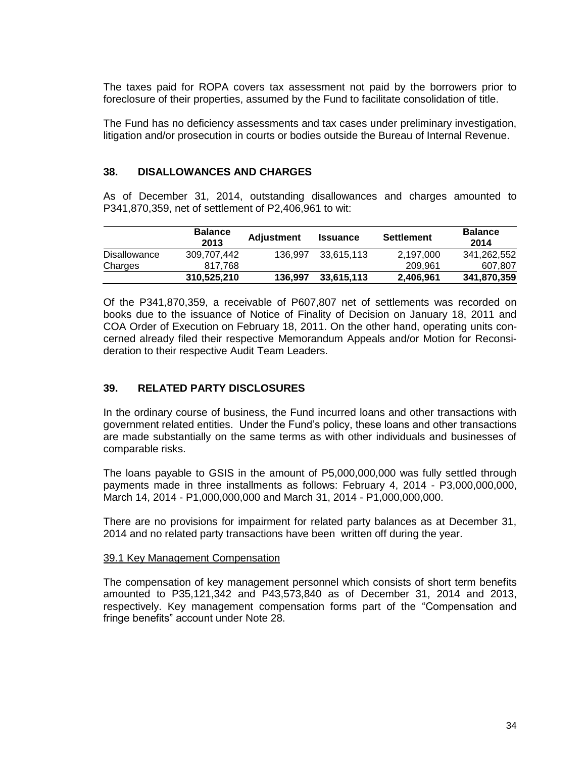The taxes paid for ROPA covers tax assessment not paid by the borrowers prior to foreclosure of their properties, assumed by the Fund to facilitate consolidation of title.

The Fund has no deficiency assessments and tax cases under preliminary investigation, litigation and/or prosecution in courts or bodies outside the Bureau of Internal Revenue.

### **38. DISALLOWANCES AND CHARGES**

As of December 31, 2014, outstanding disallowances and charges amounted to P341,870,359, net of settlement of P2,406,961 to wit:

|              | <b>Balance</b><br>2013 | <b>Adjustment</b> | <b>Issuance</b> | <b>Settlement</b> | <b>Balance</b><br>2014 |  |
|--------------|------------------------|-------------------|-----------------|-------------------|------------------------|--|
| Disallowance | 309,707,442            | 136.997           | 33.615.113      | 2,197,000         | 341,262,552            |  |
| Charges      | 817.768                |                   |                 | 209.961           | 607.807                |  |
|              | 310.525.210            | 136.997           | 33.615.113      | 2,406,961         | 341,870,359            |  |

Of the P341,870,359, a receivable of P607,807 net of settlements was recorded on books due to the issuance of Notice of Finality of Decision on January 18, 2011 and COA Order of Execution on February 18, 2011. On the other hand, operating units concerned already filed their respective Memorandum Appeals and/or Motion for Reconsideration to their respective Audit Team Leaders.

### **39. RELATED PARTY DISCLOSURES**

In the ordinary course of business, the Fund incurred loans and other transactions with government related entities. Under the Fund's policy, these loans and other transactions are made substantially on the same terms as with other individuals and businesses of comparable risks.

The loans payable to GSIS in the amount of P5,000,000,000 was fully settled through payments made in three installments as follows: February 4, 2014 - P3,000,000,000, March 14, 2014 - P1,000,000,000 and March 31, 2014 - P1,000,000,000.

There are no provisions for impairment for related party balances as at December 31, 2014 and no related party transactions have been written off during the year.

#### 39.1 Key Management Compensation

The compensation of key management personnel which consists of short term benefits amounted to P35,121,342 and P43,573,840 as of December 31, 2014 and 2013, respectively. Key management compensation forms part of the "Compensation and fringe benefits" account under Note 28.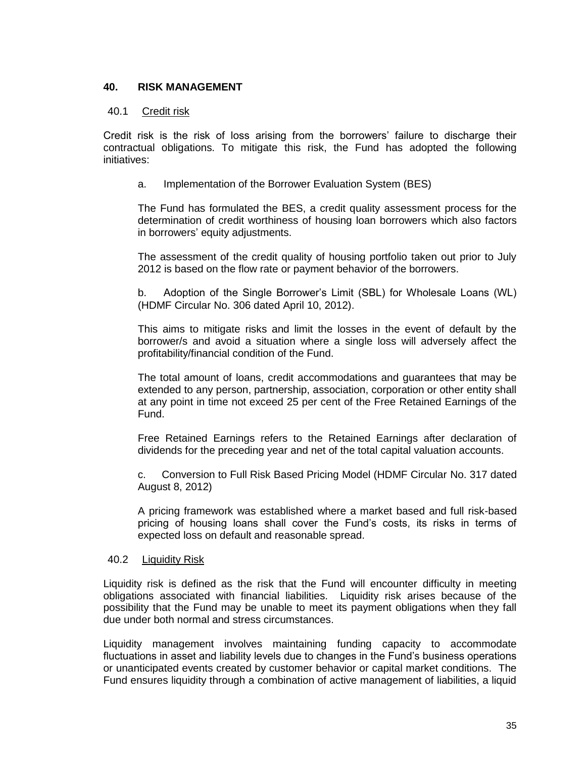### **40. RISK MANAGEMENT**

#### 40.1 Credit risk

Credit risk is the risk of loss arising from the borrowers' failure to discharge their contractual obligations. To mitigate this risk, the Fund has adopted the following initiatives:

a. Implementation of the Borrower Evaluation System (BES)

The Fund has formulated the BES, a credit quality assessment process for the determination of credit worthiness of housing loan borrowers which also factors in borrowers' equity adjustments.

The assessment of the credit quality of housing portfolio taken out prior to July 2012 is based on the flow rate or payment behavior of the borrowers.

b. Adoption of the Single Borrower's Limit (SBL) for Wholesale Loans (WL) (HDMF Circular No. 306 dated April 10, 2012).

This aims to mitigate risks and limit the losses in the event of default by the borrower/s and avoid a situation where a single loss will adversely affect the profitability/financial condition of the Fund.

The total amount of loans, credit accommodations and guarantees that may be extended to any person, partnership, association, corporation or other entity shall at any point in time not exceed 25 per cent of the Free Retained Earnings of the Fund.

Free Retained Earnings refers to the Retained Earnings after declaration of dividends for the preceding year and net of the total capital valuation accounts.

c. Conversion to Full Risk Based Pricing Model (HDMF Circular No. 317 dated August 8, 2012)

A pricing framework was established where a market based and full risk-based pricing of housing loans shall cover the Fund's costs, its risks in terms of expected loss on default and reasonable spread.

#### 40.2 Liquidity Risk

Liquidity risk is defined as the risk that the Fund will encounter difficulty in meeting obligations associated with financial liabilities. Liquidity risk arises because of the possibility that the Fund may be unable to meet its payment obligations when they fall due under both normal and stress circumstances.

Liquidity management involves maintaining funding capacity to accommodate fluctuations in asset and liability levels due to changes in the Fund's business operations or unanticipated events created by customer behavior or capital market conditions. The Fund ensures liquidity through a combination of active management of liabilities, a liquid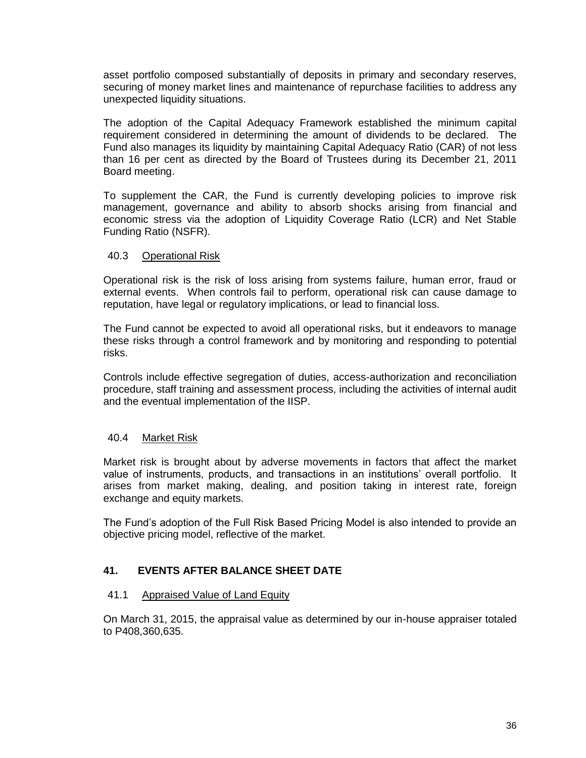asset portfolio composed substantially of deposits in primary and secondary reserves, securing of money market lines and maintenance of repurchase facilities to address any unexpected liquidity situations.

The adoption of the Capital Adequacy Framework established the minimum capital requirement considered in determining the amount of dividends to be declared. The Fund also manages its liquidity by maintaining Capital Adequacy Ratio (CAR) of not less than 16 per cent as directed by the Board of Trustees during its December 21, 2011 Board meeting.

To supplement the CAR, the Fund is currently developing policies to improve risk management, governance and ability to absorb shocks arising from financial and economic stress via the adoption of Liquidity Coverage Ratio (LCR) and Net Stable Funding Ratio (NSFR).

### 40.3 Operational Risk

Operational risk is the risk of loss arising from systems failure, human error, fraud or external events. When controls fail to perform, operational risk can cause damage to reputation, have legal or regulatory implications, or lead to financial loss.

The Fund cannot be expected to avoid all operational risks, but it endeavors to manage these risks through a control framework and by monitoring and responding to potential risks.

Controls include effective segregation of duties, access-authorization and reconciliation procedure, staff training and assessment process, including the activities of internal audit and the eventual implementation of the IISP.

### 40.4 Market Risk

Market risk is brought about by adverse movements in factors that affect the market value of instruments, products, and transactions in an institutions' overall portfolio. It arises from market making, dealing, and position taking in interest rate, foreign exchange and equity markets.

The Fund's adoption of the Full Risk Based Pricing Model is also intended to provide an objective pricing model, reflective of the market.

### **41. EVENTS AFTER BALANCE SHEET DATE**

#### 41.1 Appraised Value of Land Equity

On March 31, 2015, the appraisal value as determined by our in-house appraiser totaled to P408,360,635.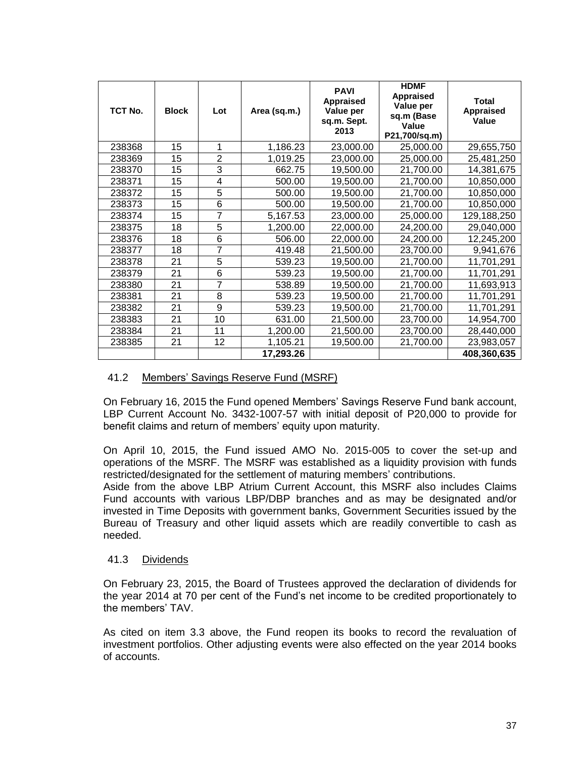| TCT No. | <b>Block</b> | Lot            | Area (sq.m.) | <b>PAVI</b><br><b>Appraised</b><br>Value per<br>sq.m. Sept.<br>2013 | <b>HDMF</b><br><b>Appraised</b><br>Value per<br>sq.m (Base<br>Value<br>P21,700/sq.m) | <b>Total</b><br><b>Appraised</b><br>Value |
|---------|--------------|----------------|--------------|---------------------------------------------------------------------|--------------------------------------------------------------------------------------|-------------------------------------------|
| 238368  | 15           | 1              | 1,186.23     | 23,000.00                                                           | 25,000.00                                                                            | 29,655,750                                |
| 238369  | 15           | $\overline{2}$ | 1,019.25     | 23,000.00                                                           | 25,000.00                                                                            | 25,481,250                                |
| 238370  | 15           | 3              | 662.75       | 19,500.00                                                           | 21,700.00                                                                            | 14,381,675                                |
| 238371  | 15           | 4              | 500.00       | 19,500.00                                                           | 21,700.00                                                                            | 10,850,000                                |
| 238372  | 15           | 5              | 500.00       | 19,500.00                                                           | 21,700.00                                                                            | 10,850,000                                |
| 238373  | 15           | 6              | 500.00       | 19,500.00                                                           | 21,700.00                                                                            | 10,850,000                                |
| 238374  | 15           | 7              | 5,167.53     | 23,000.00                                                           | 25,000.00                                                                            | 129,188,250                               |
| 238375  | 18           | 5              | 1,200.00     | 22,000.00                                                           | 24,200.00                                                                            | 29,040,000                                |
| 238376  | 18           | 6              | 506.00       | 22,000.00                                                           | 24,200.00                                                                            | 12,245,200                                |
| 238377  | 18           | 7              | 419.48       | 21,500.00                                                           | 23,700.00                                                                            | 9,941,676                                 |
| 238378  | 21           | 5              | 539.23       | 19,500.00                                                           | 21,700.00                                                                            | 11,701,291                                |
| 238379  | 21           | 6              | 539.23       | 19,500.00                                                           | 21,700.00                                                                            | 11,701,291                                |
| 238380  | 21           | 7              | 538.89       | 19,500.00                                                           | 21,700.00                                                                            | 11,693,913                                |
| 238381  | 21           | 8              | 539.23       | 19,500.00                                                           | 21,700.00                                                                            | 11,701,291                                |
| 238382  | 21           | 9              | 539.23       | 19,500.00                                                           | 21,700.00                                                                            | 11,701,291                                |
| 238383  | 21           | 10             | 631.00       | 21,500.00                                                           | 23,700.00                                                                            | 14,954,700                                |
| 238384  | 21           | 11             | 1,200.00     | 21,500.00                                                           | 23,700.00                                                                            | 28,440,000                                |
| 238385  | 21           | 12             | 1,105.21     | 19,500.00                                                           | 21,700.00                                                                            | 23,983,057                                |
|         |              |                | 17,293.26    |                                                                     |                                                                                      | 408,360,635                               |

### 41.2 Members' Savings Reserve Fund (MSRF)

On February 16, 2015 the Fund opened Members' Savings Reserve Fund bank account, LBP Current Account No. 3432-1007-57 with initial deposit of P20,000 to provide for benefit claims and return of members' equity upon maturity.

On April 10, 2015, the Fund issued AMO No. 2015-005 to cover the set-up and operations of the MSRF. The MSRF was established as a liquidity provision with funds restricted/designated for the settlement of maturing members' contributions.

Aside from the above LBP Atrium Current Account, this MSRF also includes Claims Fund accounts with various LBP/DBP branches and as may be designated and/or invested in Time Deposits with government banks, Government Securities issued by the Bureau of Treasury and other liquid assets which are readily convertible to cash as needed.

### 41.3 Dividends

On February 23, 2015, the Board of Trustees approved the declaration of dividends for the year 2014 at 70 per cent of the Fund's net income to be credited proportionately to the members' TAV.

As cited on item 3.3 above, the Fund reopen its books to record the revaluation of investment portfolios. Other adjusting events were also effected on the year 2014 books of accounts.